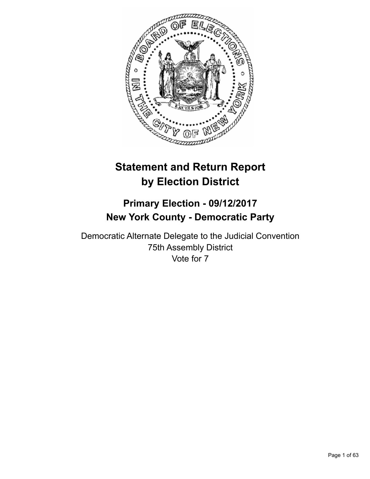

# **Statement and Return Report by Election District**

# **Primary Election - 09/12/2017 New York County - Democratic Party**

Democratic Alternate Delegate to the Judicial Convention 75th Assembly District Vote for 7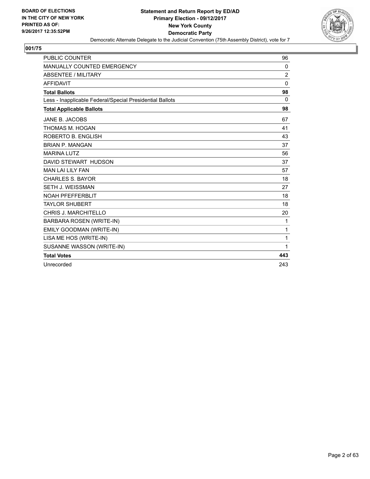

| <b>PUBLIC COUNTER</b>                                    | 96             |
|----------------------------------------------------------|----------------|
| MANUALLY COUNTED EMERGENCY                               | 0              |
| <b>ABSENTEE / MILITARY</b>                               | $\overline{c}$ |
| <b>AFFIDAVIT</b>                                         | $\Omega$       |
| <b>Total Ballots</b>                                     | 98             |
| Less - Inapplicable Federal/Special Presidential Ballots | 0              |
| <b>Total Applicable Ballots</b>                          | 98             |
| JANE B. JACOBS                                           | 67             |
| THOMAS M. HOGAN                                          | 41             |
| ROBERTO B. ENGLISH                                       | 43             |
| <b>BRIAN P. MANGAN</b>                                   | 37             |
| <b>MARINA LUTZ</b>                                       | 56             |
| DAVID STEWART HUDSON                                     | 37             |
| <b>MAN LAI LILY FAN</b>                                  | 57             |
| <b>CHARLES S. BAYOR</b>                                  | 18             |
| <b>SETH J. WEISSMAN</b>                                  | 27             |
| <b>NOAH PFEFFERBLIT</b>                                  | 18             |
| <b>TAYLOR SHUBERT</b>                                    | 18             |
| <b>CHRIS J. MARCHITELLO</b>                              | 20             |
| <b>BARBARA ROSEN (WRITE-IN)</b>                          | 1              |
| EMILY GOODMAN (WRITE-IN)                                 | 1              |
| LISA ME HOS (WRITE-IN)                                   | 1              |
| SUSANNE WASSON (WRITE-IN)                                | 1              |
| <b>Total Votes</b>                                       | 443            |
| Unrecorded                                               | 243            |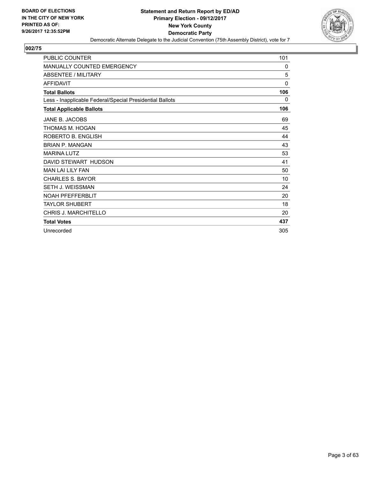

| <b>PUBLIC COUNTER</b>                                    | 101         |
|----------------------------------------------------------|-------------|
| <b>MANUALLY COUNTED EMERGENCY</b>                        | 0           |
| <b>ABSENTEE / MILITARY</b>                               | 5           |
| <b>AFFIDAVIT</b>                                         | $\mathbf 0$ |
| <b>Total Ballots</b>                                     | 106         |
| Less - Inapplicable Federal/Special Presidential Ballots | 0           |
| <b>Total Applicable Ballots</b>                          | 106         |
| JANE B. JACOBS                                           | 69          |
| THOMAS M. HOGAN                                          | 45          |
| ROBERTO B. ENGLISH                                       | 44          |
| <b>BRIAN P. MANGAN</b>                                   | 43          |
| <b>MARINA LUTZ</b>                                       | 53          |
| DAVID STEWART HUDSON                                     | 41          |
| <b>MAN LAI LILY FAN</b>                                  | 50          |
| <b>CHARLES S. BAYOR</b>                                  | 10          |
| <b>SETH J. WEISSMAN</b>                                  | 24          |
| <b>NOAH PFEFFERBLIT</b>                                  | 20          |
| <b>TAYLOR SHUBERT</b>                                    | 18          |
| <b>CHRIS J. MARCHITELLO</b>                              | 20          |
| <b>Total Votes</b>                                       | 437         |
| Unrecorded                                               | 305         |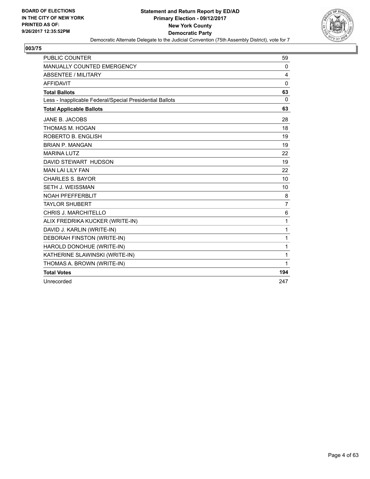

| <b>PUBLIC COUNTER</b>                                    | 59             |
|----------------------------------------------------------|----------------|
| MANUALLY COUNTED EMERGENCY                               | 0              |
| <b>ABSENTEE / MILITARY</b>                               | 4              |
| <b>AFFIDAVIT</b>                                         | $\mathbf{0}$   |
| <b>Total Ballots</b>                                     | 63             |
| Less - Inapplicable Federal/Special Presidential Ballots | $\mathbf{0}$   |
| <b>Total Applicable Ballots</b>                          | 63             |
| <b>JANE B. JACOBS</b>                                    | 28             |
| THOMAS M. HOGAN                                          | 18             |
| ROBERTO B. ENGLISH                                       | 19             |
| <b>BRIAN P. MANGAN</b>                                   | 19             |
| <b>MARINA LUTZ</b>                                       | 22             |
| DAVID STEWART HUDSON                                     | 19             |
| <b>MAN LAI LILY FAN</b>                                  | 22             |
| <b>CHARLES S. BAYOR</b>                                  | 10             |
| <b>SETH J. WEISSMAN</b>                                  | 10             |
| <b>NOAH PFEFFERBLIT</b>                                  | 8              |
| <b>TAYLOR SHUBERT</b>                                    | $\overline{7}$ |
| CHRIS J. MARCHITELLO                                     | 6              |
| ALIX FREDRIKA KUCKER (WRITE-IN)                          | 1              |
| DAVID J. KARLIN (WRITE-IN)                               | 1              |
| DEBORAH FINSTON (WRITE-IN)                               | 1              |
| HAROLD DONOHUE (WRITE-IN)                                | 1              |
| KATHERINE SLAWINSKI (WRITE-IN)                           | 1              |
| THOMAS A. BROWN (WRITE-IN)                               | 1              |
| <b>Total Votes</b>                                       | 194            |
| Unrecorded                                               | 247            |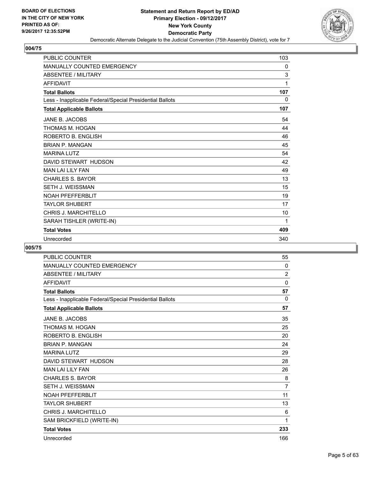

| <b>PUBLIC COUNTER</b>                                    | 103 |
|----------------------------------------------------------|-----|
| <b>MANUALLY COUNTED EMERGENCY</b>                        | 0   |
| <b>ABSENTEE / MILITARY</b>                               | 3   |
| <b>AFFIDAVIT</b>                                         | 1   |
| <b>Total Ballots</b>                                     | 107 |
| Less - Inapplicable Federal/Special Presidential Ballots | 0   |
| <b>Total Applicable Ballots</b>                          | 107 |
| JANE B. JACOBS                                           | 54  |
| THOMAS M. HOGAN                                          | 44  |
| ROBERTO B. ENGLISH                                       | 46  |
| <b>BRIAN P. MANGAN</b>                                   | 45  |
| <b>MARINA LUTZ</b>                                       | 54  |
| DAVID STEWART HUDSON                                     | 42  |
| <b>MAN LAI LILY FAN</b>                                  | 49  |
| <b>CHARLES S. BAYOR</b>                                  | 13  |
| <b>SETH J. WEISSMAN</b>                                  | 15  |
| <b>NOAH PFEFFERBLIT</b>                                  | 19  |
| <b>TAYLOR SHUBERT</b>                                    | 17  |
| <b>CHRIS J. MARCHITELLO</b>                              | 10  |
| SARAH TISHLER (WRITE-IN)                                 | 1   |
| <b>Total Votes</b>                                       | 409 |
| Unrecorded                                               | 340 |

| <b>PUBLIC COUNTER</b>                                    | 55             |
|----------------------------------------------------------|----------------|
| <b>MANUALLY COUNTED EMERGENCY</b>                        | 0              |
| <b>ABSENTEE / MILITARY</b>                               | $\overline{2}$ |
| <b>AFFIDAVIT</b>                                         | 0              |
| <b>Total Ballots</b>                                     | 57             |
| Less - Inapplicable Federal/Special Presidential Ballots | $\Omega$       |
| <b>Total Applicable Ballots</b>                          | 57             |
| <b>JANE B. JACOBS</b>                                    | 35             |
| THOMAS M. HOGAN                                          | 25             |
| ROBERTO B. ENGLISH                                       | 20             |
| <b>BRIAN P. MANGAN</b>                                   | 24             |
| <b>MARINA LUTZ</b>                                       | 29             |
| DAVID STEWART HUDSON                                     | 28             |
| <b>MAN LAI LILY FAN</b>                                  | 26             |
| <b>CHARLES S. BAYOR</b>                                  | 8              |
| <b>SETH J. WEISSMAN</b>                                  | $\overline{7}$ |
| <b>NOAH PFEFFERBLIT</b>                                  | 11             |
| <b>TAYLOR SHUBERT</b>                                    | 13             |
| CHRIS J. MARCHITELLO                                     | 6              |
| SAM BRICKFIELD (WRITE-IN)                                | 1              |
| <b>Total Votes</b>                                       | 233            |
| Unrecorded                                               | 166            |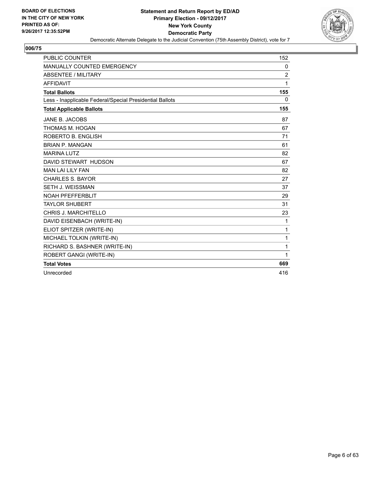

| <b>PUBLIC COUNTER</b>                                    | 152            |
|----------------------------------------------------------|----------------|
| <b>MANUALLY COUNTED EMERGENCY</b>                        | 0              |
| <b>ABSENTEE / MILITARY</b>                               | $\overline{2}$ |
| <b>AFFIDAVIT</b>                                         | 1              |
| <b>Total Ballots</b>                                     | 155            |
| Less - Inapplicable Federal/Special Presidential Ballots | 0              |
| <b>Total Applicable Ballots</b>                          | 155            |
| JANE B. JACOBS                                           | 87             |
| THOMAS M. HOGAN                                          | 67             |
| ROBERTO B. ENGLISH                                       | 71             |
| <b>BRIAN P. MANGAN</b>                                   | 61             |
| <b>MARINA LUTZ</b>                                       | 82             |
| DAVID STEWART HUDSON                                     | 67             |
| <b>MAN LAI LILY FAN</b>                                  | 82             |
| <b>CHARLES S. BAYOR</b>                                  | 27             |
| SETH J. WEISSMAN                                         | 37             |
| <b>NOAH PFEFFERBLIT</b>                                  | 29             |
| <b>TAYLOR SHUBERT</b>                                    | 31             |
| <b>CHRIS J. MARCHITELLO</b>                              | 23             |
| DAVID EISENBACH (WRITE-IN)                               | 1              |
| ELIOT SPITZER (WRITE-IN)                                 | 1              |
| MICHAEL TOLKIN (WRITE-IN)                                | 1              |
| RICHARD S. BASHNER (WRITE-IN)                            | 1              |
| ROBERT GANGI (WRITE-IN)                                  | 1              |
| <b>Total Votes</b>                                       | 669            |
| Unrecorded                                               | 416            |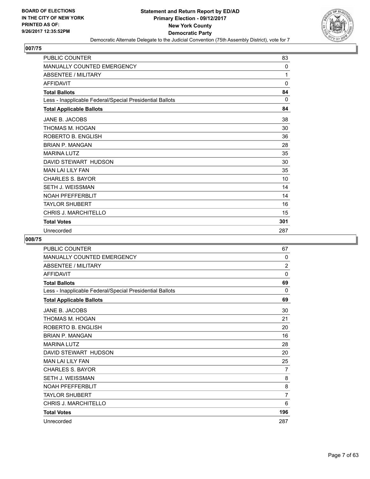

| <b>PUBLIC COUNTER</b>                                    | 83          |
|----------------------------------------------------------|-------------|
| <b>MANUALLY COUNTED EMERGENCY</b>                        | 0           |
| <b>ABSENTEE / MILITARY</b>                               | 1           |
| <b>AFFIDAVIT</b>                                         | $\mathbf 0$ |
| <b>Total Ballots</b>                                     | 84          |
| Less - Inapplicable Federal/Special Presidential Ballots | $\Omega$    |
| <b>Total Applicable Ballots</b>                          | 84          |
| JANE B. JACOBS                                           | 38          |
| THOMAS M. HOGAN                                          | 30          |
| ROBERTO B. ENGLISH                                       | 36          |
| <b>BRIAN P. MANGAN</b>                                   | 28          |
| <b>MARINA LUTZ</b>                                       | 35          |
| DAVID STEWART HUDSON                                     | 30          |
| <b>MAN LAI LILY FAN</b>                                  | 35          |
| <b>CHARLES S. BAYOR</b>                                  | 10          |
| SETH J. WEISSMAN                                         | 14          |
| <b>NOAH PFEFFERBLIT</b>                                  | 14          |
| <b>TAYLOR SHUBERT</b>                                    | 16          |
| <b>CHRIS J. MARCHITELLO</b>                              | 15          |
| <b>Total Votes</b>                                       | 301         |
| Unrecorded                                               | 287         |

| PUBLIC COUNTER                                           | 67             |
|----------------------------------------------------------|----------------|
| <b>MANUALLY COUNTED EMERGENCY</b>                        | 0              |
| <b>ABSENTEE / MILITARY</b>                               | $\overline{2}$ |
| <b>AFFIDAVIT</b>                                         | 0              |
| <b>Total Ballots</b>                                     | 69             |
| Less - Inapplicable Federal/Special Presidential Ballots | 0              |
| <b>Total Applicable Ballots</b>                          | 69             |
| JANE B. JACOBS                                           | 30             |
| THOMAS M. HOGAN                                          | 21             |
| ROBERTO B. ENGLISH                                       | 20             |
| <b>BRIAN P. MANGAN</b>                                   | 16             |
| <b>MARINA LUTZ</b>                                       | 28             |
| DAVID STEWART HUDSON                                     | 20             |
| <b>MAN LAI LILY FAN</b>                                  | 25             |
| <b>CHARLES S. BAYOR</b>                                  | 7              |
| <b>SETH J. WEISSMAN</b>                                  | 8              |
| <b>NOAH PFEFFERBLIT</b>                                  | 8              |
| <b>TAYLOR SHUBERT</b>                                    | $\overline{7}$ |
| CHRIS J. MARCHITELLO                                     | 6              |
| <b>Total Votes</b>                                       | 196            |
| Unrecorded                                               | 287            |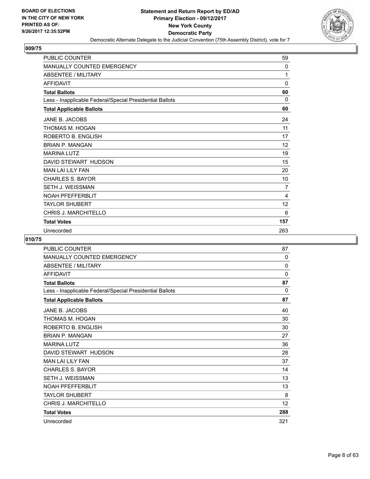

| <b>PUBLIC COUNTER</b>                                    | 59       |
|----------------------------------------------------------|----------|
| MANUALLY COUNTED EMERGENCY                               | 0        |
| <b>ABSENTEE / MILITARY</b>                               | 1        |
| <b>AFFIDAVIT</b>                                         | $\Omega$ |
| <b>Total Ballots</b>                                     | 60       |
| Less - Inapplicable Federal/Special Presidential Ballots | $\Omega$ |
| <b>Total Applicable Ballots</b>                          | 60       |
| JANE B. JACOBS                                           | 24       |
| THOMAS M. HOGAN                                          | 11       |
| ROBERTO B. ENGLISH                                       | 17       |
| <b>BRIAN P. MANGAN</b>                                   | 12       |
| <b>MARINA LUTZ</b>                                       | 19       |
| DAVID STEWART HUDSON                                     | 15       |
| <b>MAN LAI LILY FAN</b>                                  | 20       |
| <b>CHARLES S. BAYOR</b>                                  | 10       |
| SETH J. WEISSMAN                                         | 7        |
| <b>NOAH PFEFFERBLIT</b>                                  | 4        |
| <b>TAYLOR SHUBERT</b>                                    | 12       |
| <b>CHRIS J. MARCHITELLO</b>                              | 6        |
| <b>Total Votes</b>                                       | 157      |
| Unrecorded                                               | 263      |

| PUBLIC COUNTER                                           | 87  |
|----------------------------------------------------------|-----|
| <b>MANUALLY COUNTED EMERGENCY</b>                        | 0   |
| <b>ABSENTEE / MILITARY</b>                               | 0   |
| <b>AFFIDAVIT</b>                                         | 0   |
| <b>Total Ballots</b>                                     | 87  |
| Less - Inapplicable Federal/Special Presidential Ballots | 0   |
| <b>Total Applicable Ballots</b>                          | 87  |
| JANE B. JACOBS                                           | 40  |
| THOMAS M. HOGAN                                          | 30  |
| ROBERTO B. ENGLISH                                       | 30  |
| <b>BRIAN P. MANGAN</b>                                   | 27  |
| <b>MARINA LUTZ</b>                                       | 36  |
| DAVID STEWART HUDSON                                     | 28  |
| <b>MAN LAI LILY FAN</b>                                  | 37  |
| <b>CHARLES S. BAYOR</b>                                  | 14  |
| <b>SETH J. WEISSMAN</b>                                  | 13  |
| <b>NOAH PFEFFERBLIT</b>                                  | 13  |
| <b>TAYLOR SHUBERT</b>                                    | 8   |
| CHRIS J. MARCHITELLO                                     | 12  |
| <b>Total Votes</b>                                       | 288 |
| Unrecorded                                               | 321 |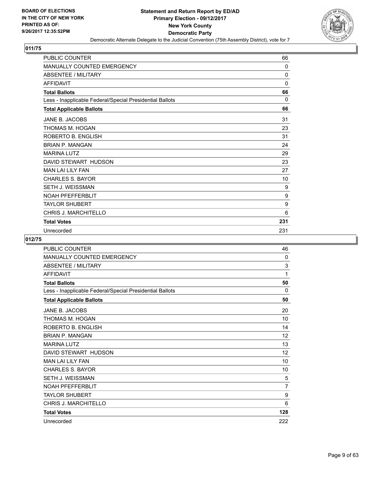

| <b>PUBLIC COUNTER</b>                                    | 66           |
|----------------------------------------------------------|--------------|
| MANUALLY COUNTED EMERGENCY                               | 0            |
| <b>ABSENTEE / MILITARY</b>                               | $\mathbf{0}$ |
| <b>AFFIDAVIT</b>                                         | 0            |
| <b>Total Ballots</b>                                     | 66           |
| Less - Inapplicable Federal/Special Presidential Ballots | $\Omega$     |
| <b>Total Applicable Ballots</b>                          | 66           |
| JANE B. JACOBS                                           | 31           |
| THOMAS M. HOGAN                                          | 23           |
| ROBERTO B. ENGLISH                                       | 31           |
| <b>BRIAN P. MANGAN</b>                                   | 24           |
| <b>MARINA LUTZ</b>                                       | 29           |
| DAVID STEWART HUDSON                                     | 23           |
| <b>MAN LAI LILY FAN</b>                                  | 27           |
| <b>CHARLES S. BAYOR</b>                                  | 10           |
| SETH J. WEISSMAN                                         | 9            |
| <b>NOAH PFEFFERBLIT</b>                                  | 9            |
| <b>TAYLOR SHUBERT</b>                                    | 9            |
| <b>CHRIS J. MARCHITELLO</b>                              | 6            |
| <b>Total Votes</b>                                       | 231          |
| Unrecorded                                               | 231          |

| PUBLIC COUNTER                                           | 46       |
|----------------------------------------------------------|----------|
| MANUALLY COUNTED EMERGENCY                               | $\Omega$ |
| <b>ABSENTEE / MILITARY</b>                               | 3        |
| <b>AFFIDAVIT</b>                                         | 1        |
| <b>Total Ballots</b>                                     | 50       |
| Less - Inapplicable Federal/Special Presidential Ballots | 0        |
| <b>Total Applicable Ballots</b>                          | 50       |
| JANE B. JACOBS                                           | 20       |
| THOMAS M. HOGAN                                          | 10       |
| ROBERTO B. ENGLISH                                       | 14       |
| <b>BRIAN P. MANGAN</b>                                   | 12       |
| <b>MARINA LUTZ</b>                                       | 13       |
| DAVID STEWART HUDSON                                     | 12       |
| <b>MAN LAI LILY FAN</b>                                  | 10       |
| <b>CHARLES S. BAYOR</b>                                  | 10       |
| <b>SETH J. WEISSMAN</b>                                  | 5        |
| <b>NOAH PFEFFERBLIT</b>                                  | 7        |
| <b>TAYLOR SHUBERT</b>                                    | 9        |
| <b>CHRIS J. MARCHITELLO</b>                              | 6        |
| <b>Total Votes</b>                                       | 128      |
| Unrecorded                                               | 222      |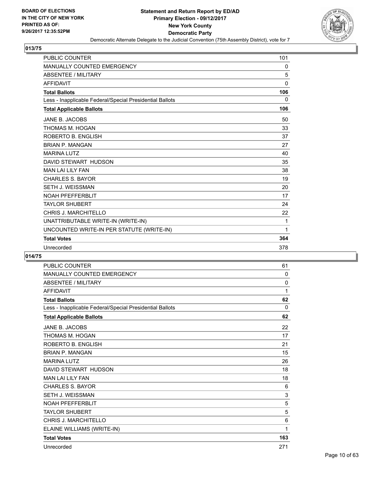

| <b>PUBLIC COUNTER</b>                                    | 101      |
|----------------------------------------------------------|----------|
| MANUALLY COUNTED EMERGENCY                               | 0        |
| <b>ABSENTEE / MILITARY</b>                               | 5        |
| <b>AFFIDAVIT</b>                                         | $\Omega$ |
| <b>Total Ballots</b>                                     | 106      |
| Less - Inapplicable Federal/Special Presidential Ballots | 0        |
| <b>Total Applicable Ballots</b>                          | 106      |
| JANE B. JACOBS                                           | 50       |
| THOMAS M. HOGAN                                          | 33       |
| ROBERTO B. ENGLISH                                       | 37       |
| <b>BRIAN P. MANGAN</b>                                   | 27       |
| <b>MARINA LUTZ</b>                                       | 40       |
| DAVID STEWART HUDSON                                     | 35       |
| <b>MAN LAI LILY FAN</b>                                  | 38       |
| <b>CHARLES S. BAYOR</b>                                  | 19       |
| <b>SETH J. WEISSMAN</b>                                  | 20       |
| <b>NOAH PFEFFERBLIT</b>                                  | 17       |
| <b>TAYLOR SHUBERT</b>                                    | 24       |
| CHRIS J. MARCHITELLO                                     | 22       |
| UNATTRIBUTABLE WRITE-IN (WRITE-IN)                       | 1        |
| UNCOUNTED WRITE-IN PER STATUTE (WRITE-IN)                | 1        |
| <b>Total Votes</b>                                       | 364      |
| Unrecorded                                               | 378      |

| <b>PUBLIC COUNTER</b>                                    | 61           |
|----------------------------------------------------------|--------------|
| <b>MANUALLY COUNTED EMERGENCY</b>                        | $\mathbf{0}$ |
| <b>ABSENTEE / MILITARY</b>                               | 0            |
| <b>AFFIDAVIT</b>                                         | 1            |
| <b>Total Ballots</b>                                     | 62           |
| Less - Inapplicable Federal/Special Presidential Ballots | $\Omega$     |
| <b>Total Applicable Ballots</b>                          | 62           |
| JANE B. JACOBS                                           | 22           |
| THOMAS M. HOGAN                                          | 17           |
| ROBERTO B. ENGLISH                                       | 21           |
| <b>BRIAN P. MANGAN</b>                                   | 15           |
| <b>MARINA LUTZ</b>                                       | 26           |
| DAVID STEWART HUDSON                                     | 18           |
| <b>MAN LAI LILY FAN</b>                                  | 18           |
| <b>CHARLES S. BAYOR</b>                                  | 6            |
| <b>SETH J. WEISSMAN</b>                                  | 3            |
| <b>NOAH PFEFFERBLIT</b>                                  | 5            |
| <b>TAYLOR SHUBERT</b>                                    | 5            |
| <b>CHRIS J. MARCHITELLO</b>                              | 6            |
| ELAINE WILLIAMS (WRITE-IN)                               | 1            |
| <b>Total Votes</b>                                       | 163          |
| Unrecorded                                               | 271          |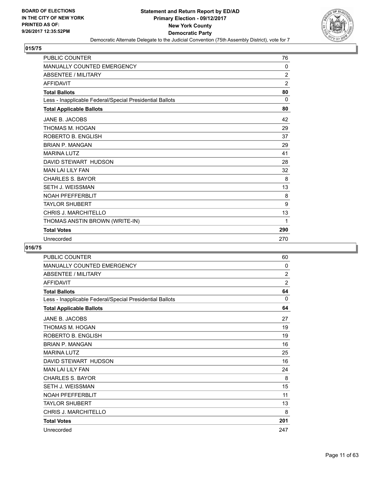

| <b>PUBLIC COUNTER</b>                                    | 76             |
|----------------------------------------------------------|----------------|
| <b>MANUALLY COUNTED EMERGENCY</b>                        | 0              |
| <b>ABSENTEE / MILITARY</b>                               | $\overline{2}$ |
| <b>AFFIDAVIT</b>                                         | $\overline{2}$ |
| <b>Total Ballots</b>                                     | 80             |
| Less - Inapplicable Federal/Special Presidential Ballots | 0              |
| <b>Total Applicable Ballots</b>                          | 80             |
| <b>JANE B. JACOBS</b>                                    | 42             |
| THOMAS M. HOGAN                                          | 29             |
| ROBERTO B. ENGLISH                                       | 37             |
| <b>BRIAN P. MANGAN</b>                                   | 29             |
| <b>MARINA LUTZ</b>                                       | 41             |
| DAVID STEWART HUDSON                                     | 28             |
| <b>MAN LAI LILY FAN</b>                                  | 32             |
| <b>CHARLES S. BAYOR</b>                                  | 8              |
| <b>SETH J. WEISSMAN</b>                                  | 13             |
| <b>NOAH PFEFFERBLIT</b>                                  | 8              |
| <b>TAYLOR SHUBERT</b>                                    | 9              |
| CHRIS J. MARCHITELLO                                     | 13             |
| THOMAS ANSTIN BROWN (WRITE-IN)                           | 1              |
| <b>Total Votes</b>                                       | 290            |
| Unrecorded                                               | 270            |

| PUBLIC COUNTER                                           | 60             |
|----------------------------------------------------------|----------------|
| <b>MANUALLY COUNTED EMERGENCY</b>                        | $\mathbf{0}$   |
| ABSENTEE / MILITARY                                      | 2              |
| <b>AFFIDAVIT</b>                                         | $\overline{2}$ |
| <b>Total Ballots</b>                                     | 64             |
| Less - Inapplicable Federal/Special Presidential Ballots | $\mathbf{0}$   |
| <b>Total Applicable Ballots</b>                          | 64             |
| JANE B. JACOBS                                           | 27             |
| THOMAS M. HOGAN                                          | 19             |
| ROBERTO B. ENGLISH                                       | 19             |
| <b>BRIAN P. MANGAN</b>                                   | 16             |
| <b>MARINA LUTZ</b>                                       | 25             |
| DAVID STEWART HUDSON                                     | 16             |
| <b>MAN LAI LILY FAN</b>                                  | 24             |
| <b>CHARLES S. BAYOR</b>                                  | 8              |
| <b>SETH J. WEISSMAN</b>                                  | 15             |
| <b>NOAH PFEFFERBLIT</b>                                  | 11             |
| <b>TAYLOR SHUBERT</b>                                    | 13             |
| CHRIS J. MARCHITELLO                                     | 8              |
| <b>Total Votes</b>                                       | 201            |
| Unrecorded                                               | 247            |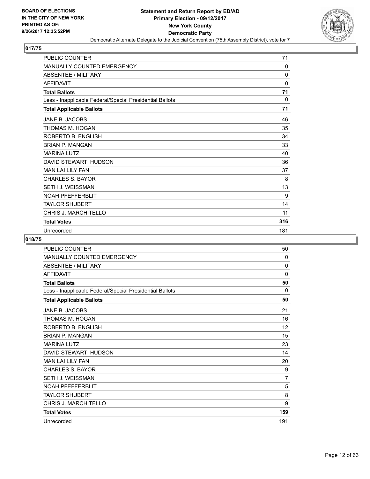

| <b>PUBLIC COUNTER</b>                                    | 71       |
|----------------------------------------------------------|----------|
| <b>MANUALLY COUNTED EMERGENCY</b>                        | 0        |
| <b>ABSENTEE / MILITARY</b>                               | $\Omega$ |
| <b>AFFIDAVIT</b>                                         | $\Omega$ |
| <b>Total Ballots</b>                                     | 71       |
| Less - Inapplicable Federal/Special Presidential Ballots | 0        |
| <b>Total Applicable Ballots</b>                          | 71       |
| JANE B. JACOBS                                           | 46       |
| THOMAS M. HOGAN                                          | 35       |
| ROBERTO B. ENGLISH                                       | 34       |
| <b>BRIAN P. MANGAN</b>                                   | 33       |
| <b>MARINA LUTZ</b>                                       | 40       |
| DAVID STEWART HUDSON                                     | 36       |
| <b>MAN LAI LILY FAN</b>                                  | 37       |
| <b>CHARLES S. BAYOR</b>                                  | 8        |
| <b>SETH J. WEISSMAN</b>                                  | 13       |
| <b>NOAH PFEFFERBLIT</b>                                  | 9        |
| <b>TAYLOR SHUBERT</b>                                    | 14       |
| <b>CHRIS J. MARCHITELLO</b>                              | 11       |
| <b>Total Votes</b>                                       | 316      |
| Unrecorded                                               | 181      |

| PUBLIC COUNTER                                           | 50             |
|----------------------------------------------------------|----------------|
| <b>MANUALLY COUNTED EMERGENCY</b>                        | $\Omega$       |
| <b>ABSENTEE / MILITARY</b>                               | 0              |
| <b>AFFIDAVIT</b>                                         | $\mathbf 0$    |
| <b>Total Ballots</b>                                     | 50             |
| Less - Inapplicable Federal/Special Presidential Ballots | 0              |
| <b>Total Applicable Ballots</b>                          | 50             |
| JANE B. JACOBS                                           | 21             |
| THOMAS M. HOGAN                                          | 16             |
| ROBERTO B. ENGLISH                                       | 12             |
| <b>BRIAN P. MANGAN</b>                                   | 15             |
| <b>MARINA LUTZ</b>                                       | 23             |
| DAVID STEWART HUDSON                                     | 14             |
| <b>MAN LAI LILY FAN</b>                                  | 20             |
| <b>CHARLES S. BAYOR</b>                                  | 9              |
| <b>SETH J. WEISSMAN</b>                                  | $\overline{7}$ |
| <b>NOAH PFEFFERBLIT</b>                                  | 5              |
| <b>TAYLOR SHUBERT</b>                                    | 8              |
| <b>CHRIS J. MARCHITELLO</b>                              | 9              |
| <b>Total Votes</b>                                       | 159            |
| Unrecorded                                               | 191            |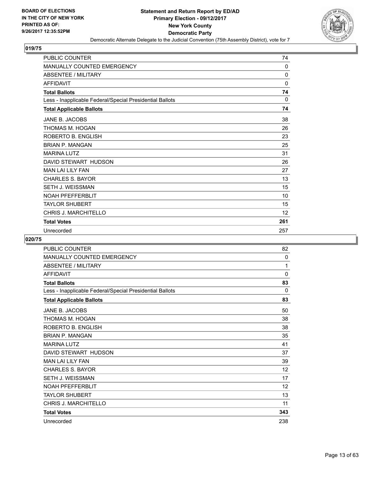

| <b>PUBLIC COUNTER</b>                                    | 74       |
|----------------------------------------------------------|----------|
| <b>MANUALLY COUNTED EMERGENCY</b>                        | 0        |
| ABSENTEE / MILITARY                                      | $\Omega$ |
| <b>AFFIDAVIT</b>                                         | $\Omega$ |
| <b>Total Ballots</b>                                     | 74       |
| Less - Inapplicable Federal/Special Presidential Ballots | 0        |
| <b>Total Applicable Ballots</b>                          | 74       |
| JANE B. JACOBS                                           | 38       |
| THOMAS M. HOGAN                                          | 26       |
| ROBERTO B. ENGLISH                                       | 23       |
| <b>BRIAN P. MANGAN</b>                                   | 25       |
| <b>MARINA LUTZ</b>                                       | 31       |
| DAVID STEWART HUDSON                                     | 26       |
| <b>MAN LAI LILY FAN</b>                                  | 27       |
| <b>CHARLES S. BAYOR</b>                                  | 13       |
| SETH J. WEISSMAN                                         | 15       |
| <b>NOAH PFEFFERBLIT</b>                                  | 10       |
| <b>TAYLOR SHUBERT</b>                                    | 15       |
| <b>CHRIS J. MARCHITELLO</b>                              | 12       |
| <b>Total Votes</b>                                       | 261      |
| Unrecorded                                               | 257      |

| PUBLIC COUNTER                                           | 82                |
|----------------------------------------------------------|-------------------|
| <b>MANUALLY COUNTED EMERGENCY</b>                        | 0                 |
| <b>ABSENTEE / MILITARY</b>                               | 1                 |
| <b>AFFIDAVIT</b>                                         | 0                 |
| <b>Total Ballots</b>                                     | 83                |
| Less - Inapplicable Federal/Special Presidential Ballots | 0                 |
| <b>Total Applicable Ballots</b>                          | 83                |
| JANE B. JACOBS                                           | 50                |
| THOMAS M. HOGAN                                          | 38                |
| ROBERTO B. ENGLISH                                       | 38                |
| <b>BRIAN P. MANGAN</b>                                   | 35                |
| <b>MARINA LUTZ</b>                                       | 41                |
| DAVID STEWART HUDSON                                     | 37                |
| <b>MAN LAI LILY FAN</b>                                  | 39                |
| <b>CHARLES S. BAYOR</b>                                  | 12                |
| <b>SETH J. WEISSMAN</b>                                  | 17                |
| <b>NOAH PFEFFERBLIT</b>                                  | $12 \overline{ }$ |
| <b>TAYLOR SHUBERT</b>                                    | 13                |
| <b>CHRIS J. MARCHITELLO</b>                              | 11                |
| <b>Total Votes</b>                                       | 343               |
| Unrecorded                                               | 238               |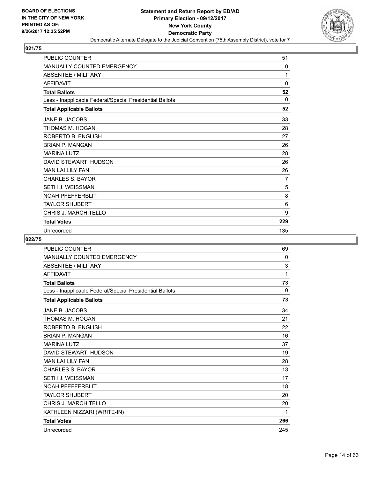

| PUBLIC COUNTER                                           | 51       |
|----------------------------------------------------------|----------|
| <b>MANUALLY COUNTED EMERGENCY</b>                        | $\Omega$ |
| <b>ABSENTEE / MILITARY</b>                               | 1        |
| <b>AFFIDAVIT</b>                                         | 0        |
| <b>Total Ballots</b>                                     | 52       |
| Less - Inapplicable Federal/Special Presidential Ballots | $\Omega$ |
| <b>Total Applicable Ballots</b>                          | 52       |
| JANE B. JACOBS                                           | 33       |
| THOMAS M. HOGAN                                          | 28       |
| ROBERTO B. ENGLISH                                       | 27       |
| <b>BRIAN P. MANGAN</b>                                   | 26       |
| <b>MARINA LUTZ</b>                                       | 28       |
| DAVID STEWART HUDSON                                     | 26       |
| <b>MAN LAI LILY FAN</b>                                  | 26       |
| <b>CHARLES S. BAYOR</b>                                  | 7        |
| SETH J. WEISSMAN                                         | 5        |
| <b>NOAH PFEFFERBLIT</b>                                  | 8        |
| <b>TAYLOR SHUBERT</b>                                    | 6        |
| <b>CHRIS J. MARCHITELLO</b>                              | 9        |
| <b>Total Votes</b>                                       | 229      |
| Unrecorded                                               | 135      |

| <b>PUBLIC COUNTER</b>                                    | 69  |
|----------------------------------------------------------|-----|
| <b>MANUALLY COUNTED EMERGENCY</b>                        | 0   |
| <b>ABSENTEE / MILITARY</b>                               | 3   |
| <b>AFFIDAVIT</b>                                         | 1   |
| <b>Total Ballots</b>                                     | 73  |
| Less - Inapplicable Federal/Special Presidential Ballots | 0   |
| <b>Total Applicable Ballots</b>                          | 73  |
| JANE B. JACOBS                                           | 34  |
| THOMAS M. HOGAN                                          | 21  |
| ROBERTO B. ENGLISH                                       | 22  |
| <b>BRIAN P. MANGAN</b>                                   | 16  |
| <b>MARINA LUTZ</b>                                       | 37  |
| DAVID STEWART HUDSON                                     | 19  |
| <b>MAN LAI LILY FAN</b>                                  | 28  |
| <b>CHARLES S. BAYOR</b>                                  | 13  |
| <b>SETH J. WEISSMAN</b>                                  | 17  |
| <b>NOAH PFEFFERBLIT</b>                                  | 18  |
| <b>TAYLOR SHUBERT</b>                                    | 20  |
| CHRIS J. MARCHITELLO                                     | 20  |
| KATHLEEN NIZZARI (WRITE-IN)                              | 1   |
| <b>Total Votes</b>                                       | 266 |
| Unrecorded                                               | 245 |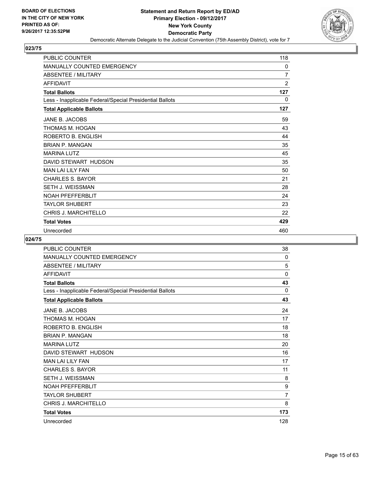

| <b>PUBLIC COUNTER</b>                                    | 118            |
|----------------------------------------------------------|----------------|
| <b>MANUALLY COUNTED EMERGENCY</b>                        | 0              |
| ABSENTEE / MILITARY                                      | $\overline{7}$ |
| <b>AFFIDAVIT</b>                                         | $\overline{2}$ |
| <b>Total Ballots</b>                                     | 127            |
| Less - Inapplicable Federal/Special Presidential Ballots | 0              |
| <b>Total Applicable Ballots</b>                          | 127            |
| JANE B. JACOBS                                           | 59             |
| THOMAS M. HOGAN                                          | 43             |
| ROBERTO B. ENGLISH                                       | 44             |
| <b>BRIAN P. MANGAN</b>                                   | 35             |
| <b>MARINA LUTZ</b>                                       | 45             |
| DAVID STEWART HUDSON                                     | 35             |
| <b>MAN LAI LILY FAN</b>                                  | 50             |
| <b>CHARLES S. BAYOR</b>                                  | 21             |
| SETH J. WEISSMAN                                         | 28             |
| <b>NOAH PFEFFERBLIT</b>                                  | 24             |
| <b>TAYLOR SHUBERT</b>                                    | 23             |
| <b>CHRIS J. MARCHITELLO</b>                              | 22             |
| <b>Total Votes</b>                                       | 429            |
| Unrecorded                                               | 460            |

| PUBLIC COUNTER                                           | 38             |
|----------------------------------------------------------|----------------|
| MANUALLY COUNTED EMERGENCY                               | 0              |
| <b>ABSENTEE / MILITARY</b>                               | 5              |
| <b>AFFIDAVIT</b>                                         | 0              |
| <b>Total Ballots</b>                                     | 43             |
| Less - Inapplicable Federal/Special Presidential Ballots | 0              |
| <b>Total Applicable Ballots</b>                          | 43             |
| JANE B. JACOBS                                           | 24             |
| THOMAS M. HOGAN                                          | 17             |
| ROBERTO B. ENGLISH                                       | 18             |
| <b>BRIAN P. MANGAN</b>                                   | 18             |
| <b>MARINA LUTZ</b>                                       | 20             |
| DAVID STEWART HUDSON                                     | 16             |
| <b>MAN LAI LILY FAN</b>                                  | 17             |
| <b>CHARLES S. BAYOR</b>                                  | 11             |
| <b>SETH J. WEISSMAN</b>                                  | 8              |
| <b>NOAH PFEFFERBLIT</b>                                  | 9              |
| <b>TAYLOR SHUBERT</b>                                    | $\overline{7}$ |
| <b>CHRIS J. MARCHITELLO</b>                              | 8              |
| <b>Total Votes</b>                                       | 173            |
| Unrecorded                                               | 128            |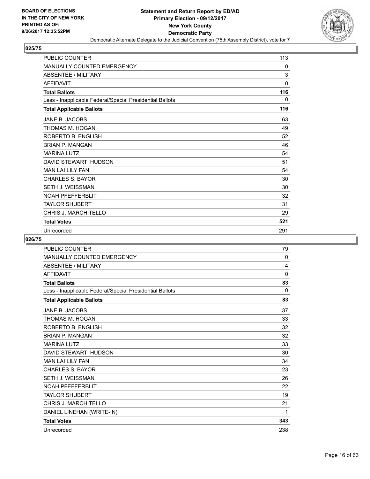

| <b>PUBLIC COUNTER</b>                                    | 113         |
|----------------------------------------------------------|-------------|
| <b>MANUALLY COUNTED EMERGENCY</b>                        | 0           |
| <b>ABSENTEE / MILITARY</b>                               | 3           |
| <b>AFFIDAVIT</b>                                         | $\mathbf 0$ |
| <b>Total Ballots</b>                                     | 116         |
| Less - Inapplicable Federal/Special Presidential Ballots | 0           |
| <b>Total Applicable Ballots</b>                          | 116         |
| JANE B. JACOBS                                           | 63          |
| THOMAS M. HOGAN                                          | 49          |
| ROBERTO B. ENGLISH                                       | 52          |
| <b>BRIAN P. MANGAN</b>                                   | 46          |
| <b>MARINA LUTZ</b>                                       | 54          |
| DAVID STEWART HUDSON                                     | 51          |
| <b>MAN LAI LILY FAN</b>                                  | 54          |
| <b>CHARLES S. BAYOR</b>                                  | 30          |
| SETH J. WEISSMAN                                         | 30          |
| <b>NOAH PFEFFERBLIT</b>                                  | 32          |
| <b>TAYLOR SHUBERT</b>                                    | 31          |
| <b>CHRIS J. MARCHITELLO</b>                              | 29          |
| <b>Total Votes</b>                                       | 521         |
| Unrecorded                                               | 291         |

| <b>PUBLIC COUNTER</b>                                    | 79           |
|----------------------------------------------------------|--------------|
| <b>MANUALLY COUNTED EMERGENCY</b>                        | 0            |
| <b>ABSENTEE / MILITARY</b>                               | 4            |
| <b>AFFIDAVIT</b>                                         | $\mathbf{0}$ |
| <b>Total Ballots</b>                                     | 83           |
| Less - Inapplicable Federal/Special Presidential Ballots | 0            |
| <b>Total Applicable Ballots</b>                          | 83           |
| <b>JANE B. JACOBS</b>                                    | 37           |
| THOMAS M. HOGAN                                          | 33           |
| ROBERTO B. ENGLISH                                       | 32           |
| <b>BRIAN P. MANGAN</b>                                   | 32           |
| <b>MARINA LUTZ</b>                                       | 33           |
| DAVID STEWART HUDSON                                     | 30           |
| <b>MAN LAI LILY FAN</b>                                  | 34           |
| <b>CHARLES S. BAYOR</b>                                  | 23           |
| <b>SETH J. WEISSMAN</b>                                  | 26           |
| <b>NOAH PFEFFERBLIT</b>                                  | 22           |
| <b>TAYLOR SHUBERT</b>                                    | 19           |
| CHRIS J. MARCHITELLO                                     | 21           |
| DANIEL LINEHAN (WRITE-IN)                                | 1            |
| <b>Total Votes</b>                                       | 343          |
| Unrecorded                                               | 238          |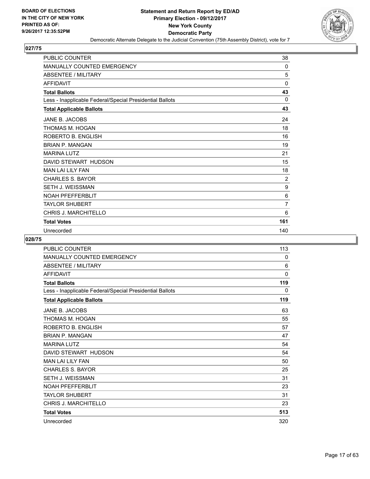

| PUBLIC COUNTER                                           | 38             |
|----------------------------------------------------------|----------------|
| MANUALLY COUNTED EMERGENCY                               | $\mathbf{0}$   |
| <b>ABSENTEE / MILITARY</b>                               | 5              |
| <b>AFFIDAVIT</b>                                         | 0              |
| <b>Total Ballots</b>                                     | 43             |
| Less - Inapplicable Federal/Special Presidential Ballots | $\Omega$       |
| <b>Total Applicable Ballots</b>                          | 43             |
| JANE B. JACOBS                                           | 24             |
| THOMAS M. HOGAN                                          | 18             |
| ROBERTO B. ENGLISH                                       | 16             |
| <b>BRIAN P. MANGAN</b>                                   | 19             |
| <b>MARINA LUTZ</b>                                       | 21             |
| DAVID STEWART HUDSON                                     | 15             |
| <b>MAN LAI LILY FAN</b>                                  | 18             |
| <b>CHARLES S. BAYOR</b>                                  | $\overline{2}$ |
| SETH J. WEISSMAN                                         | 9              |
| <b>NOAH PFEFFERBLIT</b>                                  | 6              |
| <b>TAYLOR SHUBERT</b>                                    | 7              |
| <b>CHRIS J. MARCHITELLO</b>                              | 6              |
| <b>Total Votes</b>                                       | 161            |
| Unrecorded                                               | 140            |

| PUBLIC COUNTER                                           | 113         |
|----------------------------------------------------------|-------------|
| <b>MANUALLY COUNTED EMERGENCY</b>                        | 0           |
| <b>ABSENTEE / MILITARY</b>                               | 6           |
| <b>AFFIDAVIT</b>                                         | $\mathbf 0$ |
| <b>Total Ballots</b>                                     | 119         |
| Less - Inapplicable Federal/Special Presidential Ballots | 0           |
| <b>Total Applicable Ballots</b>                          | 119         |
| JANE B. JACOBS                                           | 63          |
| THOMAS M. HOGAN                                          | 55          |
| ROBERTO B. ENGLISH                                       | 57          |
| <b>BRIAN P. MANGAN</b>                                   | 47          |
| <b>MARINA LUTZ</b>                                       | 54          |
| DAVID STEWART HUDSON                                     | 54          |
| <b>MAN LAI LILY FAN</b>                                  | 50          |
| <b>CHARLES S. BAYOR</b>                                  | 25          |
| <b>SETH J. WEISSMAN</b>                                  | 31          |
| <b>NOAH PFEFFERBLIT</b>                                  | 23          |
| <b>TAYLOR SHUBERT</b>                                    | 31          |
| <b>CHRIS J. MARCHITELLO</b>                              | 23          |
| <b>Total Votes</b>                                       | 513         |
| Unrecorded                                               | 320         |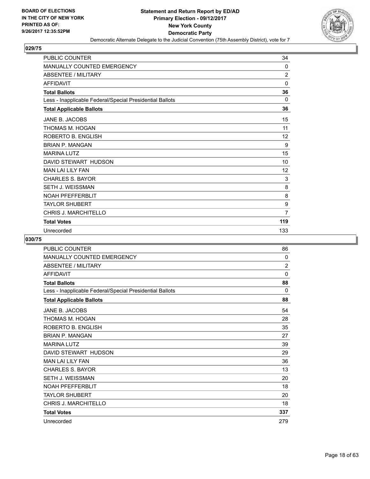

| <b>PUBLIC COUNTER</b>                                    | 34             |
|----------------------------------------------------------|----------------|
| MANUALLY COUNTED EMERGENCY                               | 0              |
| <b>ABSENTEE / MILITARY</b>                               | $\overline{2}$ |
| <b>AFFIDAVIT</b>                                         | 0              |
| <b>Total Ballots</b>                                     | 36             |
| Less - Inapplicable Federal/Special Presidential Ballots | 0              |
| <b>Total Applicable Ballots</b>                          | 36             |
| JANE B. JACOBS                                           | 15             |
| THOMAS M. HOGAN                                          | 11             |
| ROBERTO B. ENGLISH                                       | 12             |
| <b>BRIAN P. MANGAN</b>                                   | 9              |
| <b>MARINA LUTZ</b>                                       | 15             |
| DAVID STEWART HUDSON                                     | 10             |
| <b>MAN LAI LILY FAN</b>                                  | 12             |
| <b>CHARLES S. BAYOR</b>                                  | 3              |
| SETH J. WEISSMAN                                         | 8              |
| <b>NOAH PFEFFERBLIT</b>                                  | 8              |
| <b>TAYLOR SHUBERT</b>                                    | 9              |
| <b>CHRIS J. MARCHITELLO</b>                              | $\overline{7}$ |
| <b>Total Votes</b>                                       | 119            |
| Unrecorded                                               | 133            |

| PUBLIC COUNTER                                           | 86             |
|----------------------------------------------------------|----------------|
| MANUALLY COUNTED EMERGENCY                               | $\Omega$       |
| <b>ABSENTEE / MILITARY</b>                               | $\overline{2}$ |
| <b>AFFIDAVIT</b>                                         | 0              |
| <b>Total Ballots</b>                                     | 88             |
| Less - Inapplicable Federal/Special Presidential Ballots | 0              |
| <b>Total Applicable Ballots</b>                          | 88             |
| JANE B. JACOBS                                           | 54             |
| THOMAS M. HOGAN                                          | 28             |
| ROBERTO B. ENGLISH                                       | 35             |
| <b>BRIAN P. MANGAN</b>                                   | 27             |
| <b>MARINA LUTZ</b>                                       | 39             |
| DAVID STEWART HUDSON                                     | 29             |
| <b>MAN LAI LILY FAN</b>                                  | 36             |
| <b>CHARLES S. BAYOR</b>                                  | 13             |
| <b>SETH J. WEISSMAN</b>                                  | 20             |
| <b>NOAH PFEFFERBLIT</b>                                  | 18             |
| <b>TAYLOR SHUBERT</b>                                    | 20             |
| <b>CHRIS J. MARCHITELLO</b>                              | 18             |
| <b>Total Votes</b>                                       | 337            |
| Unrecorded                                               | 279            |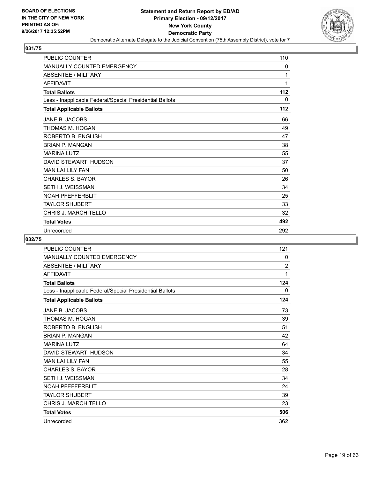

| <b>PUBLIC COUNTER</b>                                    | 110 |
|----------------------------------------------------------|-----|
| MANUALLY COUNTED EMERGENCY                               | 0   |
| <b>ABSENTEE / MILITARY</b>                               | 1   |
| <b>AFFIDAVIT</b>                                         | 1   |
| <b>Total Ballots</b>                                     | 112 |
| Less - Inapplicable Federal/Special Presidential Ballots | 0   |
| <b>Total Applicable Ballots</b>                          | 112 |
| JANE B. JACOBS                                           | 66  |
| THOMAS M. HOGAN                                          | 49  |
| ROBERTO B. ENGLISH                                       | 47  |
| <b>BRIAN P. MANGAN</b>                                   | 38  |
| <b>MARINA LUTZ</b>                                       | 55  |
| DAVID STEWART HUDSON                                     | 37  |
| <b>MAN LAI LILY FAN</b>                                  | 50  |
| <b>CHARLES S. BAYOR</b>                                  | 26  |
| SETH J. WEISSMAN                                         | 34  |
| <b>NOAH PFEFFERBLIT</b>                                  | 25  |
| <b>TAYLOR SHUBERT</b>                                    | 33  |
| <b>CHRIS J. MARCHITELLO</b>                              | 32  |
| <b>Total Votes</b>                                       | 492 |
| Unrecorded                                               | 292 |

| PUBLIC COUNTER                                           | 121            |
|----------------------------------------------------------|----------------|
| <b>MANUALLY COUNTED EMERGENCY</b>                        | 0              |
| <b>ABSENTEE / MILITARY</b>                               | $\overline{2}$ |
| <b>AFFIDAVIT</b>                                         | 1              |
| <b>Total Ballots</b>                                     | 124            |
| Less - Inapplicable Federal/Special Presidential Ballots | 0              |
| <b>Total Applicable Ballots</b>                          | 124            |
| JANE B. JACOBS                                           | 73             |
| THOMAS M. HOGAN                                          | 39             |
| ROBERTO B. ENGLISH                                       | 51             |
| <b>BRIAN P. MANGAN</b>                                   | 42             |
| <b>MARINA LUTZ</b>                                       | 64             |
| DAVID STEWART HUDSON                                     | 34             |
| <b>MAN LAI LILY FAN</b>                                  | 55             |
| <b>CHARLES S. BAYOR</b>                                  | 28             |
| <b>SETH J. WEISSMAN</b>                                  | 34             |
| <b>NOAH PFEFFERBLIT</b>                                  | 24             |
| <b>TAYLOR SHUBERT</b>                                    | 39             |
| <b>CHRIS J. MARCHITELLO</b>                              | 23             |
| <b>Total Votes</b>                                       | 506            |
| Unrecorded                                               | 362            |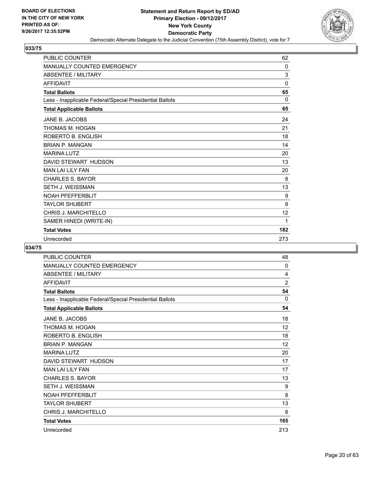

| <b>PUBLIC COUNTER</b>                                    | 62           |
|----------------------------------------------------------|--------------|
| <b>MANUALLY COUNTED EMERGENCY</b>                        | $\mathbf{0}$ |
| <b>ABSENTEE / MILITARY</b>                               | 3            |
| <b>AFFIDAVIT</b>                                         | $\Omega$     |
| <b>Total Ballots</b>                                     | 65           |
| Less - Inapplicable Federal/Special Presidential Ballots | $\Omega$     |
| <b>Total Applicable Ballots</b>                          | 65           |
| JANE B. JACOBS                                           | 24           |
| THOMAS M. HOGAN                                          | 21           |
| ROBERTO B. ENGLISH                                       | 18           |
| <b>BRIAN P. MANGAN</b>                                   | 14           |
| <b>MARINA LUTZ</b>                                       | 20           |
| DAVID STEWART HUDSON                                     | 13           |
| <b>MAN LAI LILY FAN</b>                                  | 20           |
| <b>CHARLES S. BAYOR</b>                                  | 8            |
| SETH J. WEISSMAN                                         | 13           |
| <b>NOAH PFEFFERBLIT</b>                                  | 9            |
| <b>TAYLOR SHUBERT</b>                                    | 9            |
| <b>CHRIS J. MARCHITELLO</b>                              | 12           |
| SAMER HINEDI (WRITE-IN)                                  | 1            |
| <b>Total Votes</b>                                       | 182          |
| Unrecorded                                               | 273          |

| <b>PUBLIC COUNTER</b>                                    | 48             |
|----------------------------------------------------------|----------------|
| <b>MANUALLY COUNTED EMERGENCY</b>                        | 0              |
| <b>ABSENTEE / MILITARY</b>                               | 4              |
| <b>AFFIDAVIT</b>                                         | $\overline{2}$ |
| <b>Total Ballots</b>                                     | 54             |
| Less - Inapplicable Federal/Special Presidential Ballots | $\mathbf{0}$   |
| <b>Total Applicable Ballots</b>                          | 54             |
| JANE B. JACOBS                                           | 18             |
| THOMAS M. HOGAN                                          | 12             |
| ROBERTO B. ENGLISH                                       | 18             |
| <b>BRIAN P. MANGAN</b>                                   | 12             |
| <b>MARINA LUTZ</b>                                       | 20             |
| DAVID STEWART HUDSON                                     | 17             |
| <b>MAN LAI LILY FAN</b>                                  | 17             |
| <b>CHARLES S. BAYOR</b>                                  | 13             |
| <b>SETH J. WEISSMAN</b>                                  | 9              |
| <b>NOAH PFEFFERBLIT</b>                                  | 8              |
| <b>TAYLOR SHUBERT</b>                                    | 13             |
| CHRIS J. MARCHITELLO                                     | 8              |
| <b>Total Votes</b>                                       | 165            |
| Unrecorded                                               | 213            |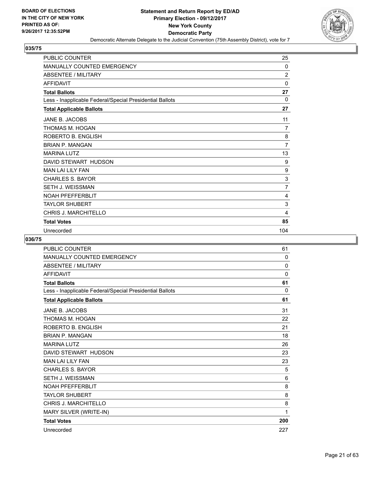

| <b>PUBLIC COUNTER</b>                                    | 25             |
|----------------------------------------------------------|----------------|
| MANUALLY COUNTED EMERGENCY                               | 0              |
| <b>ABSENTEE / MILITARY</b>                               | $\overline{2}$ |
| <b>AFFIDAVIT</b>                                         | 0              |
| <b>Total Ballots</b>                                     | 27             |
| Less - Inapplicable Federal/Special Presidential Ballots | $\Omega$       |
| <b>Total Applicable Ballots</b>                          | 27             |
| JANE B. JACOBS                                           | 11             |
| THOMAS M. HOGAN                                          | $\overline{7}$ |
| ROBERTO B. ENGLISH                                       | 8              |
| <b>BRIAN P. MANGAN</b>                                   | $\overline{7}$ |
| <b>MARINA LUTZ</b>                                       | 13             |
| DAVID STEWART HUDSON                                     | 9              |
| <b>MAN LAI LILY FAN</b>                                  | 9              |
| <b>CHARLES S. BAYOR</b>                                  | 3              |
| <b>SETH J. WEISSMAN</b>                                  | $\overline{7}$ |
| <b>NOAH PFEFFERBLIT</b>                                  | 4              |
| <b>TAYLOR SHUBERT</b>                                    | 3              |
| <b>CHRIS J. MARCHITELLO</b>                              | 4              |
| <b>Total Votes</b>                                       | 85             |
| Unrecorded                                               | 104            |

| <b>PUBLIC COUNTER</b>                                    | 61       |
|----------------------------------------------------------|----------|
| <b>MANUALLY COUNTED EMERGENCY</b>                        | 0        |
| <b>ABSENTEE / MILITARY</b>                               | 0        |
| <b>AFFIDAVIT</b>                                         | 0        |
| <b>Total Ballots</b>                                     | 61       |
| Less - Inapplicable Federal/Special Presidential Ballots | $\Omega$ |
| <b>Total Applicable Ballots</b>                          | 61       |
| <b>JANE B. JACOBS</b>                                    | 31       |
| THOMAS M. HOGAN                                          | 22       |
| ROBERTO B. ENGLISH                                       | 21       |
| <b>BRIAN P. MANGAN</b>                                   | 18       |
| <b>MARINA LUTZ</b>                                       | 26       |
| DAVID STEWART HUDSON                                     | 23       |
| <b>MAN LAI LILY FAN</b>                                  | 23       |
| <b>CHARLES S. BAYOR</b>                                  | 5        |
| <b>SETH J. WEISSMAN</b>                                  | 6        |
| <b>NOAH PFEFFERBLIT</b>                                  | 8        |
| <b>TAYLOR SHUBERT</b>                                    | 8        |
| CHRIS J. MARCHITELLO                                     | 8        |
| MARY SILVER (WRITE-IN)                                   | 1        |
| <b>Total Votes</b>                                       | 200      |
| Unrecorded                                               | 227      |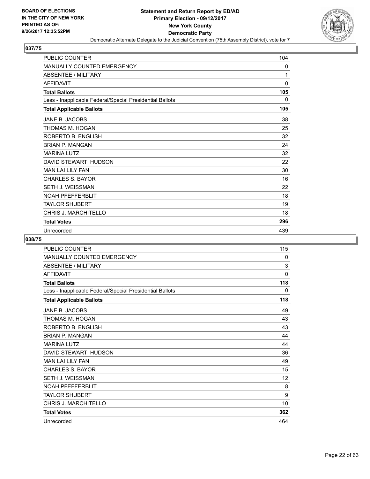

| <b>PUBLIC COUNTER</b>                                    | 104          |
|----------------------------------------------------------|--------------|
| MANUALLY COUNTED EMERGENCY                               | 0            |
| <b>ABSENTEE / MILITARY</b>                               | 1            |
| <b>AFFIDAVIT</b>                                         | $\mathbf{0}$ |
| <b>Total Ballots</b>                                     | 105          |
| Less - Inapplicable Federal/Special Presidential Ballots | 0            |
| <b>Total Applicable Ballots</b>                          | 105          |
| JANE B. JACOBS                                           | 38           |
| THOMAS M. HOGAN                                          | 25           |
| ROBERTO B. ENGLISH                                       | 32           |
| <b>BRIAN P. MANGAN</b>                                   | 24           |
| <b>MARINA LUTZ</b>                                       | 32           |
| DAVID STEWART HUDSON                                     | 22           |
| <b>MAN LAI LILY FAN</b>                                  | 30           |
| <b>CHARLES S. BAYOR</b>                                  | 16           |
| <b>SETH J. WEISSMAN</b>                                  | 22           |
| <b>NOAH PFEFFERBLIT</b>                                  | 18           |
| <b>TAYLOR SHUBERT</b>                                    | 19           |
| <b>CHRIS J. MARCHITELLO</b>                              | 18           |
| <b>Total Votes</b>                                       | 296          |
| Unrecorded                                               | 439          |

| PUBLIC COUNTER                                           | 115 |
|----------------------------------------------------------|-----|
| <b>MANUALLY COUNTED EMERGENCY</b>                        | 0   |
| <b>ABSENTEE / MILITARY</b>                               | 3   |
| <b>AFFIDAVIT</b>                                         | 0   |
| <b>Total Ballots</b>                                     | 118 |
| Less - Inapplicable Federal/Special Presidential Ballots | 0   |
| <b>Total Applicable Ballots</b>                          | 118 |
| JANE B. JACOBS                                           | 49  |
| THOMAS M. HOGAN                                          | 43  |
| ROBERTO B. ENGLISH                                       | 43  |
| <b>BRIAN P. MANGAN</b>                                   | 44  |
| <b>MARINA LUTZ</b>                                       | 44  |
| DAVID STEWART HUDSON                                     | 36  |
| <b>MAN LAI LILY FAN</b>                                  | 49  |
| <b>CHARLES S. BAYOR</b>                                  | 15  |
| <b>SETH J. WEISSMAN</b>                                  | 12  |
| <b>NOAH PFEFFERBLIT</b>                                  | 8   |
| <b>TAYLOR SHUBERT</b>                                    | 9   |
| CHRIS J. MARCHITELLO                                     | 10  |
| <b>Total Votes</b>                                       | 362 |
| Unrecorded                                               | 464 |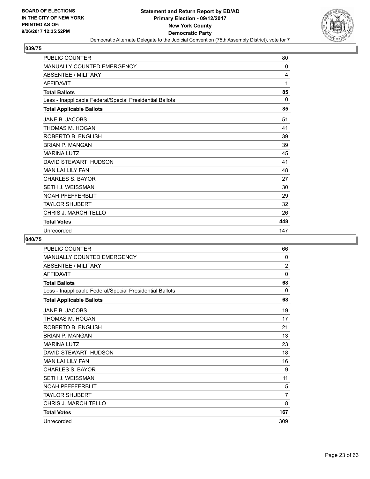

| <b>PUBLIC COUNTER</b>                                    | 80  |
|----------------------------------------------------------|-----|
| <b>MANUALLY COUNTED EMERGENCY</b>                        | 0   |
| <b>ABSENTEE / MILITARY</b>                               | 4   |
| <b>AFFIDAVIT</b>                                         | 1   |
| <b>Total Ballots</b>                                     | 85  |
| Less - Inapplicable Federal/Special Presidential Ballots | 0   |
| <b>Total Applicable Ballots</b>                          | 85  |
| JANE B. JACOBS                                           | 51  |
| THOMAS M. HOGAN                                          | 41  |
| ROBERTO B. ENGLISH                                       | 39  |
| <b>BRIAN P. MANGAN</b>                                   | 39  |
| <b>MARINA LUTZ</b>                                       | 45  |
| DAVID STEWART HUDSON                                     | 41  |
| <b>MAN LAI LILY FAN</b>                                  | 48  |
| CHARLES S. BAYOR                                         | 27  |
| SETH J. WEISSMAN                                         | 30  |
| <b>NOAH PFEFFERBLIT</b>                                  | 29  |
| TAYLOR SHUBERT                                           | 32  |
| <b>CHRIS J. MARCHITELLO</b>                              | 26  |
| <b>Total Votes</b>                                       | 448 |
| Unrecorded                                               | 147 |

| PUBLIC COUNTER                                           | 66             |
|----------------------------------------------------------|----------------|
| <b>MANUALLY COUNTED EMERGENCY</b>                        | 0              |
| <b>ABSENTEE / MILITARY</b>                               | $\overline{2}$ |
| <b>AFFIDAVIT</b>                                         | 0              |
| <b>Total Ballots</b>                                     | 68             |
| Less - Inapplicable Federal/Special Presidential Ballots | 0              |
| <b>Total Applicable Ballots</b>                          | 68             |
| JANE B. JACOBS                                           | 19             |
| THOMAS M. HOGAN                                          | 17             |
| ROBERTO B. ENGLISH                                       | 21             |
| <b>BRIAN P. MANGAN</b>                                   | 13             |
| <b>MARINA LUTZ</b>                                       | 23             |
| DAVID STEWART HUDSON                                     | 18             |
| <b>MAN LAI LILY FAN</b>                                  | 16             |
| <b>CHARLES S. BAYOR</b>                                  | 9              |
| <b>SETH J. WEISSMAN</b>                                  | 11             |
| <b>NOAH PFEFFERBLIT</b>                                  | 5              |
| <b>TAYLOR SHUBERT</b>                                    | $\overline{7}$ |
| CHRIS J. MARCHITELLO                                     | 8              |
| <b>Total Votes</b>                                       | 167            |
| Unrecorded                                               | 309            |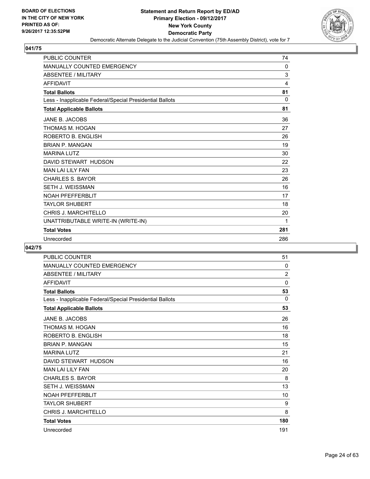

| <b>PUBLIC COUNTER</b>                                    | 74  |
|----------------------------------------------------------|-----|
| <b>MANUALLY COUNTED EMERGENCY</b>                        | 0   |
| <b>ABSENTEE / MILITARY</b>                               | 3   |
| <b>AFFIDAVIT</b>                                         | 4   |
| <b>Total Ballots</b>                                     | 81  |
| Less - Inapplicable Federal/Special Presidential Ballots | 0   |
| <b>Total Applicable Ballots</b>                          | 81  |
| JANE B. JACOBS                                           | 36  |
| THOMAS M. HOGAN                                          | 27  |
| ROBERTO B. ENGLISH                                       | 26  |
| <b>BRIAN P. MANGAN</b>                                   | 19  |
| <b>MARINA LUTZ</b>                                       | 30  |
| DAVID STEWART HUDSON                                     | 22  |
| <b>MAN LAI LILY FAN</b>                                  | 23  |
| <b>CHARLES S. BAYOR</b>                                  | 26  |
| <b>SETH J. WEISSMAN</b>                                  | 16  |
| <b>NOAH PFEFFERBLIT</b>                                  | 17  |
| <b>TAYLOR SHUBERT</b>                                    | 18  |
| CHRIS J. MARCHITELLO                                     | 20  |
| UNATTRIBUTABLE WRITE-IN (WRITE-IN)                       | 1   |
| <b>Total Votes</b>                                       | 281 |
| Unrecorded                                               | 286 |

| <b>PUBLIC COUNTER</b>                                    | 51             |
|----------------------------------------------------------|----------------|
| MANUALLY COUNTED EMERGENCY                               | 0              |
| <b>ABSENTEE / MILITARY</b>                               | $\overline{2}$ |
| <b>AFFIDAVIT</b>                                         | 0              |
| <b>Total Ballots</b>                                     | 53             |
| Less - Inapplicable Federal/Special Presidential Ballots | $\Omega$       |
| <b>Total Applicable Ballots</b>                          | 53             |
| JANE B. JACOBS                                           | 26             |
| THOMAS M. HOGAN                                          | 16             |
| ROBERTO B. ENGLISH                                       | 18             |
| <b>BRIAN P. MANGAN</b>                                   | 15             |
| <b>MARINA LUTZ</b>                                       | 21             |
| DAVID STEWART HUDSON                                     | 16             |
| <b>MAN LAI LILY FAN</b>                                  | 20             |
| <b>CHARLES S. BAYOR</b>                                  | 8              |
| <b>SETH J. WEISSMAN</b>                                  | 13             |
| <b>NOAH PFEFFERBLIT</b>                                  | 10             |
| <b>TAYLOR SHUBERT</b>                                    | 9              |
| CHRIS J. MARCHITELLO                                     | 8              |
| <b>Total Votes</b>                                       | 180            |
| Unrecorded                                               | 191            |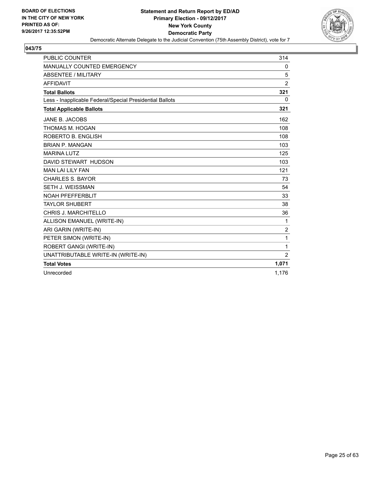

| <b>PUBLIC COUNTER</b>                                    | 314            |
|----------------------------------------------------------|----------------|
| <b>MANUALLY COUNTED EMERGENCY</b>                        | 0              |
| <b>ABSENTEE / MILITARY</b>                               | 5              |
| <b>AFFIDAVIT</b>                                         | $\overline{2}$ |
| <b>Total Ballots</b>                                     | 321            |
| Less - Inapplicable Federal/Special Presidential Ballots | $\Omega$       |
| <b>Total Applicable Ballots</b>                          | 321            |
| <b>JANE B. JACOBS</b>                                    | 162            |
| THOMAS M. HOGAN                                          | 108            |
| ROBERTO B. ENGLISH                                       | 108            |
| <b>BRIAN P. MANGAN</b>                                   | 103            |
| <b>MARINA LUTZ</b>                                       | 125            |
| DAVID STEWART HUDSON                                     | 103            |
| <b>MAN LAI LILY FAN</b>                                  | 121            |
| <b>CHARLES S. BAYOR</b>                                  | 73             |
| SETH J. WEISSMAN                                         | 54             |
| <b>NOAH PFEFFERBLIT</b>                                  | 33             |
| <b>TAYLOR SHUBERT</b>                                    | 38             |
| <b>CHRIS J. MARCHITELLO</b>                              | 36             |
| ALLISON EMANUEL (WRITE-IN)                               | 1              |
| ARI GARIN (WRITE-IN)                                     | $\overline{c}$ |
| PETER SIMON (WRITE-IN)                                   | 1              |
| ROBERT GANGI (WRITE-IN)                                  | 1              |
| UNATTRIBUTABLE WRITE-IN (WRITE-IN)                       | $\overline{2}$ |
| <b>Total Votes</b>                                       | 1,071          |
| Unrecorded                                               | 1,176          |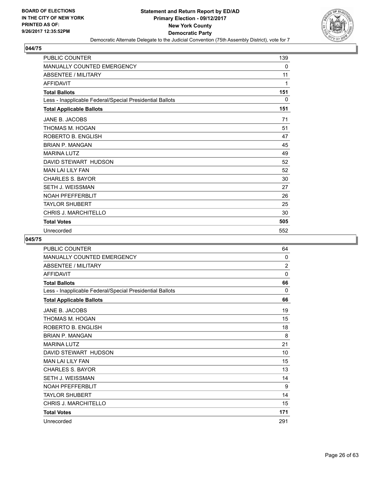

| <b>PUBLIC COUNTER</b>                                    | 139 |
|----------------------------------------------------------|-----|
| MANUALLY COUNTED EMERGENCY                               | 0   |
| <b>ABSENTEE / MILITARY</b>                               | 11  |
| <b>AFFIDAVIT</b>                                         | 1   |
| <b>Total Ballots</b>                                     | 151 |
| Less - Inapplicable Federal/Special Presidential Ballots | 0   |
| <b>Total Applicable Ballots</b>                          | 151 |
| JANE B. JACOBS                                           | 71  |
| THOMAS M. HOGAN                                          | 51  |
| ROBERTO B. ENGLISH                                       | 47  |
| <b>BRIAN P. MANGAN</b>                                   | 45  |
| <b>MARINA LUTZ</b>                                       | 49  |
| DAVID STEWART HUDSON                                     | 52  |
| <b>MAN LAI LILY FAN</b>                                  | 52  |
| <b>CHARLES S. BAYOR</b>                                  | 30  |
| <b>SETH J. WEISSMAN</b>                                  | 27  |
| <b>NOAH PFEFFERBLIT</b>                                  | 26  |
| <b>TAYLOR SHUBERT</b>                                    | 25  |
| <b>CHRIS J. MARCHITELLO</b>                              | 30  |
| <b>Total Votes</b>                                       | 505 |
| Unrecorded                                               | 552 |

| PUBLIC COUNTER                                           | 64             |
|----------------------------------------------------------|----------------|
| <b>MANUALLY COUNTED EMERGENCY</b>                        | 0              |
| <b>ABSENTEE / MILITARY</b>                               | $\overline{2}$ |
| <b>AFFIDAVIT</b>                                         | 0              |
| <b>Total Ballots</b>                                     | 66             |
| Less - Inapplicable Federal/Special Presidential Ballots | 0              |
| <b>Total Applicable Ballots</b>                          | 66             |
| JANE B. JACOBS                                           | 19             |
| THOMAS M. HOGAN                                          | 15             |
| ROBERTO B. ENGLISH                                       | 18             |
| <b>BRIAN P. MANGAN</b>                                   | 8              |
| <b>MARINA LUTZ</b>                                       | 21             |
| DAVID STEWART HUDSON                                     | 10             |
| <b>MAN LAI LILY FAN</b>                                  | 15             |
| <b>CHARLES S. BAYOR</b>                                  | 13             |
| <b>SETH J. WEISSMAN</b>                                  | 14             |
| <b>NOAH PFEFFERBLIT</b>                                  | 9              |
| <b>TAYLOR SHUBERT</b>                                    | 14             |
| CHRIS J. MARCHITELLO                                     | 15             |
| <b>Total Votes</b>                                       | 171            |
| Unrecorded                                               | 291            |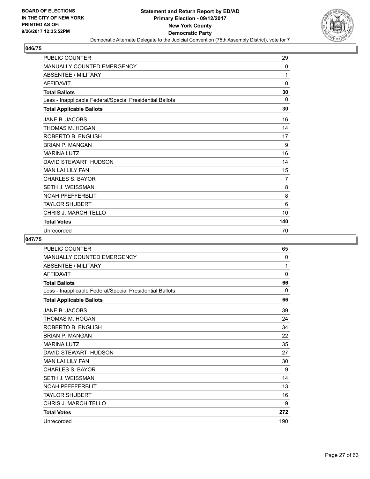

| <b>PUBLIC COUNTER</b>                                    | 29             |
|----------------------------------------------------------|----------------|
| <b>MANUALLY COUNTED EMERGENCY</b>                        | 0              |
| <b>ABSENTEE / MILITARY</b>                               | 1              |
| <b>AFFIDAVIT</b>                                         | 0              |
| <b>Total Ballots</b>                                     | 30             |
| Less - Inapplicable Federal/Special Presidential Ballots | $\Omega$       |
| <b>Total Applicable Ballots</b>                          | 30             |
| JANE B. JACOBS                                           | 16             |
| THOMAS M. HOGAN                                          | 14             |
| ROBERTO B. ENGLISH                                       | 17             |
| <b>BRIAN P. MANGAN</b>                                   | 9              |
| <b>MARINA LUTZ</b>                                       | 16             |
| DAVID STEWART HUDSON                                     | 14             |
| <b>MAN LAI LILY FAN</b>                                  | 15             |
| <b>CHARLES S. BAYOR</b>                                  | $\overline{7}$ |
| SETH J. WEISSMAN                                         | 8              |
| <b>NOAH PFEFFERBLIT</b>                                  | 8              |
| TAYLOR SHUBERT                                           | 6              |
| <b>CHRIS J. MARCHITELLO</b>                              | 10             |
| <b>Total Votes</b>                                       | 140            |
| Unrecorded                                               | 70             |

| PUBLIC COUNTER                                           | 65  |
|----------------------------------------------------------|-----|
| <b>MANUALLY COUNTED EMERGENCY</b>                        | 0   |
| <b>ABSENTEE / MILITARY</b>                               | 1   |
| <b>AFFIDAVIT</b>                                         | 0   |
| <b>Total Ballots</b>                                     | 66  |
| Less - Inapplicable Federal/Special Presidential Ballots | 0   |
| <b>Total Applicable Ballots</b>                          | 66  |
| JANE B. JACOBS                                           | 39  |
| THOMAS M. HOGAN                                          | 24  |
| ROBERTO B. ENGLISH                                       | 34  |
| <b>BRIAN P. MANGAN</b>                                   | 22  |
| <b>MARINA LUTZ</b>                                       | 35  |
| DAVID STEWART HUDSON                                     | 27  |
| <b>MAN LAI LILY FAN</b>                                  | 30  |
| <b>CHARLES S. BAYOR</b>                                  | 9   |
| <b>SETH J. WEISSMAN</b>                                  | 14  |
| <b>NOAH PFEFFERBLIT</b>                                  | 13  |
| <b>TAYLOR SHUBERT</b>                                    | 16  |
| <b>CHRIS J. MARCHITELLO</b>                              | 9   |
| <b>Total Votes</b>                                       | 272 |
| Unrecorded                                               | 190 |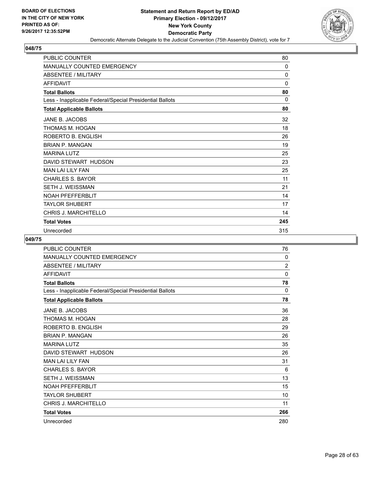

| <b>PUBLIC COUNTER</b>                                    | 80           |
|----------------------------------------------------------|--------------|
| MANUALLY COUNTED EMERGENCY                               | 0            |
| <b>ABSENTEE / MILITARY</b>                               | $\mathbf{0}$ |
| <b>AFFIDAVIT</b>                                         | 0            |
| <b>Total Ballots</b>                                     | 80           |
| Less - Inapplicable Federal/Special Presidential Ballots | 0            |
| <b>Total Applicable Ballots</b>                          | 80           |
| JANE B. JACOBS                                           | 32           |
| THOMAS M. HOGAN                                          | 18           |
| ROBERTO B. ENGLISH                                       | 26           |
| <b>BRIAN P. MANGAN</b>                                   | 19           |
| <b>MARINA LUTZ</b>                                       | 25           |
| DAVID STEWART HUDSON                                     | 23           |
| <b>MAN LAI LILY FAN</b>                                  | 25           |
| <b>CHARLES S. BAYOR</b>                                  | 11           |
| <b>SETH J. WEISSMAN</b>                                  | 21           |
| <b>NOAH PFEFFERBLIT</b>                                  | 14           |
| <b>TAYLOR SHUBERT</b>                                    | 17           |
| <b>CHRIS J. MARCHITELLO</b>                              | 14           |
| <b>Total Votes</b>                                       | 245          |
| Unrecorded                                               | 315          |

| PUBLIC COUNTER                                           | 76  |
|----------------------------------------------------------|-----|
| <b>MANUALLY COUNTED EMERGENCY</b>                        | 0   |
| <b>ABSENTEE / MILITARY</b>                               | 2   |
| <b>AFFIDAVIT</b>                                         | 0   |
| <b>Total Ballots</b>                                     | 78  |
| Less - Inapplicable Federal/Special Presidential Ballots | 0   |
| <b>Total Applicable Ballots</b>                          | 78  |
| JANE B. JACOBS                                           | 36  |
| THOMAS M. HOGAN                                          | 28  |
| ROBERTO B. ENGLISH                                       | 29  |
| <b>BRIAN P. MANGAN</b>                                   | 26  |
| <b>MARINA LUTZ</b>                                       | 35  |
| DAVID STEWART HUDSON                                     | 26  |
| <b>MAN LAI LILY FAN</b>                                  | 31  |
| <b>CHARLES S. BAYOR</b>                                  | 6   |
| <b>SETH J. WEISSMAN</b>                                  | 13  |
| <b>NOAH PFEFFERBLIT</b>                                  | 15  |
| <b>TAYLOR SHUBERT</b>                                    | 10  |
| CHRIS J. MARCHITELLO                                     | 11  |
| <b>Total Votes</b>                                       | 266 |
| Unrecorded                                               | 280 |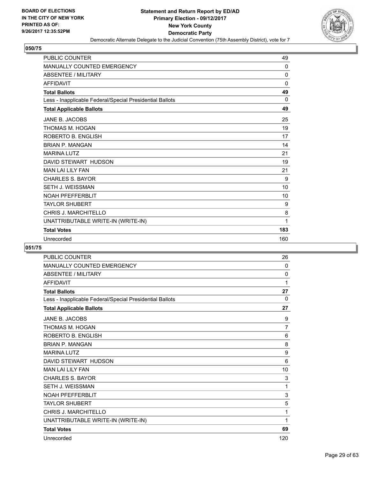

| <b>PUBLIC COUNTER</b>                                    | 49          |
|----------------------------------------------------------|-------------|
| <b>MANUALLY COUNTED EMERGENCY</b>                        | 0           |
| <b>ABSENTEE / MILITARY</b>                               | 0           |
| <b>AFFIDAVIT</b>                                         | $\mathbf 0$ |
| <b>Total Ballots</b>                                     | 49          |
| Less - Inapplicable Federal/Special Presidential Ballots | 0           |
| <b>Total Applicable Ballots</b>                          | 49          |
| JANE B. JACOBS                                           | 25          |
| THOMAS M. HOGAN                                          | 19          |
| ROBERTO B. ENGLISH                                       | 17          |
| <b>BRIAN P. MANGAN</b>                                   | 14          |
| <b>MARINA LUTZ</b>                                       | 21          |
| DAVID STEWART HUDSON                                     | 19          |
| <b>MAN LAI LILY FAN</b>                                  | 21          |
| <b>CHARLES S. BAYOR</b>                                  | 9           |
| <b>SETH J. WEISSMAN</b>                                  | 10          |
| <b>NOAH PFEFFERBLIT</b>                                  | 10          |
| <b>TAYLOR SHUBERT</b>                                    | 9           |
| <b>CHRIS J. MARCHITELLO</b>                              | 8           |
| UNATTRIBUTABLE WRITE-IN (WRITE-IN)                       | 1           |
| <b>Total Votes</b>                                       | 183         |
| Unrecorded                                               | 160         |

| <b>PUBLIC COUNTER</b>                                    | 26  |
|----------------------------------------------------------|-----|
| <b>MANUALLY COUNTED EMERGENCY</b>                        | 0   |
| <b>ABSENTEE / MILITARY</b>                               | 0   |
| <b>AFFIDAVIT</b>                                         | 1   |
| <b>Total Ballots</b>                                     | 27  |
| Less - Inapplicable Federal/Special Presidential Ballots | 0   |
| <b>Total Applicable Ballots</b>                          | 27  |
| JANE B. JACOBS                                           | 9   |
| THOMAS M. HOGAN                                          | 7   |
| ROBERTO B. ENGLISH                                       | 6   |
| <b>BRIAN P. MANGAN</b>                                   | 8   |
| <b>MARINA LUTZ</b>                                       | 9   |
| DAVID STEWART HUDSON                                     | 6   |
| <b>MAN LAI LILY FAN</b>                                  | 10  |
| <b>CHARLES S. BAYOR</b>                                  | 3   |
| <b>SETH J. WEISSMAN</b>                                  | 1   |
| <b>NOAH PFEFFERBLIT</b>                                  | 3   |
| <b>TAYLOR SHUBERT</b>                                    | 5   |
| CHRIS J. MARCHITELLO                                     | 1   |
| UNATTRIBUTABLE WRITE-IN (WRITE-IN)                       | 1   |
| <b>Total Votes</b>                                       | 69  |
| Unrecorded                                               | 120 |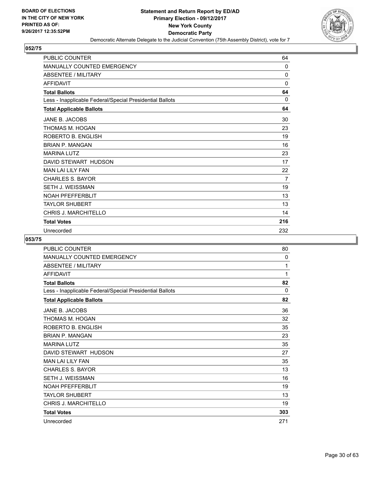

| <b>PUBLIC COUNTER</b>                                    | 64           |
|----------------------------------------------------------|--------------|
| <b>MANUALLY COUNTED EMERGENCY</b>                        | 0            |
| ABSENTEE / MILITARY                                      | $\Omega$     |
| <b>AFFIDAVIT</b>                                         | 0            |
| <b>Total Ballots</b>                                     | 64           |
| Less - Inapplicable Federal/Special Presidential Ballots | $\mathbf{0}$ |
| <b>Total Applicable Ballots</b>                          | 64           |
| JANE B. JACOBS                                           | 30           |
| THOMAS M. HOGAN                                          | 23           |
| ROBERTO B. ENGLISH                                       | 19           |
| <b>BRIAN P. MANGAN</b>                                   | 16           |
| <b>MARINA LUTZ</b>                                       | 23           |
| DAVID STEWART HUDSON                                     | 17           |
| <b>MAN LAI LILY FAN</b>                                  | 22           |
| <b>CHARLES S. BAYOR</b>                                  | 7            |
| <b>SETH J. WEISSMAN</b>                                  | 19           |
| <b>NOAH PFEFFERBLIT</b>                                  | 13           |
| <b>TAYLOR SHUBERT</b>                                    | 13           |
| <b>CHRIS J. MARCHITELLO</b>                              | 14           |
| <b>Total Votes</b>                                       | 216          |
| Unrecorded                                               | 232          |

| <b>PUBLIC COUNTER</b>                                    | 80  |
|----------------------------------------------------------|-----|
| <b>MANUALLY COUNTED EMERGENCY</b>                        | 0   |
| <b>ABSENTEE / MILITARY</b>                               | 1   |
| <b>AFFIDAVIT</b>                                         | 1   |
| <b>Total Ballots</b>                                     | 82  |
| Less - Inapplicable Federal/Special Presidential Ballots | 0   |
| <b>Total Applicable Ballots</b>                          | 82  |
| JANE B. JACOBS                                           | 36  |
| THOMAS M. HOGAN                                          | 32  |
| ROBERTO B. ENGLISH                                       | 35  |
| <b>BRIAN P. MANGAN</b>                                   | 23  |
| <b>MARINA LUTZ</b>                                       | 35  |
| DAVID STEWART HUDSON                                     | 27  |
| <b>MAN LAI LILY FAN</b>                                  | 35  |
| CHARLES S. BAYOR                                         | 13  |
| <b>SETH J. WEISSMAN</b>                                  | 16  |
| <b>NOAH PFFFFFFRBI IT</b>                                | 19  |
| <b>TAYLOR SHUBERT</b>                                    | 13  |
| CHRIS J. MARCHITELLO                                     | 19  |
| <b>Total Votes</b>                                       | 303 |
| Unrecorded                                               | 271 |
|                                                          |     |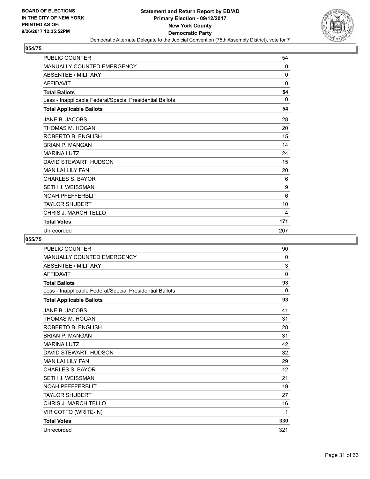

| <b>PUBLIC COUNTER</b>                                    | 54          |
|----------------------------------------------------------|-------------|
| MANUALLY COUNTED EMERGENCY                               | 0           |
| <b>ABSENTEE / MILITARY</b>                               | $\mathbf 0$ |
| <b>AFFIDAVIT</b>                                         | 0           |
| <b>Total Ballots</b>                                     | 54          |
| Less - Inapplicable Federal/Special Presidential Ballots | 0           |
| <b>Total Applicable Ballots</b>                          | 54          |
| JANE B. JACOBS                                           | 28          |
| THOMAS M. HOGAN                                          | 20          |
| ROBERTO B. ENGLISH                                       | 15          |
| <b>BRIAN P. MANGAN</b>                                   | 14          |
| <b>MARINA LUTZ</b>                                       | 24          |
| DAVID STEWART HUDSON                                     | 15          |
| <b>MAN LAI LILY FAN</b>                                  | 20          |
| <b>CHARLES S. BAYOR</b>                                  | 6           |
| <b>SETH J. WEISSMAN</b>                                  | 9           |
| <b>NOAH PFEFFERBLIT</b>                                  | 6           |
| <b>TAYLOR SHUBERT</b>                                    | 10          |
| <b>CHRIS J. MARCHITELLO</b>                              | 4           |
| <b>Total Votes</b>                                       | 171         |
| Unrecorded                                               | 207         |

| <b>PUBLIC COUNTER</b>                                    | 90          |
|----------------------------------------------------------|-------------|
| <b>MANUALLY COUNTED EMERGENCY</b>                        | 0           |
| <b>ABSENTEE / MILITARY</b>                               | 3           |
| <b>AFFIDAVIT</b>                                         | $\mathbf 0$ |
| <b>Total Ballots</b>                                     | 93          |
| Less - Inapplicable Federal/Special Presidential Ballots | $\Omega$    |
| <b>Total Applicable Ballots</b>                          | 93          |
| JANE B. JACOBS                                           | 41          |
| THOMAS M. HOGAN                                          | 31          |
| ROBERTO B. ENGLISH                                       | 28          |
| <b>BRIAN P. MANGAN</b>                                   | 31          |
| <b>MARINA LUTZ</b>                                       | 42          |
| DAVID STEWART HUDSON                                     | 32          |
| <b>MAN LAI LILY FAN</b>                                  | 29          |
| <b>CHARLES S. BAYOR</b>                                  | 12          |
| <b>SETH J. WEISSMAN</b>                                  | 21          |
| <b>NOAH PFEFFERBLIT</b>                                  | 19          |
| <b>TAYLOR SHUBERT</b>                                    | 27          |
| <b>CHRIS J. MARCHITELLO</b>                              | 16          |
| VIR COTTO (WRITE-IN)                                     | 1           |
| <b>Total Votes</b>                                       | 330         |
| Unrecorded                                               | 321         |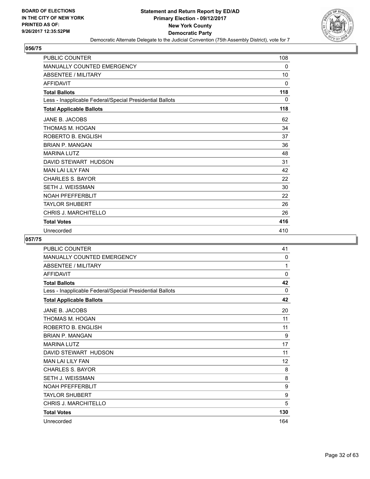

| <b>PUBLIC COUNTER</b>                                    | 108 |
|----------------------------------------------------------|-----|
| <b>MANUALLY COUNTED EMERGENCY</b>                        | 0   |
| <b>ABSENTEE / MILITARY</b>                               | 10  |
| <b>AFFIDAVIT</b>                                         | 0   |
| <b>Total Ballots</b>                                     | 118 |
| Less - Inapplicable Federal/Special Presidential Ballots | 0   |
| <b>Total Applicable Ballots</b>                          | 118 |
| JANE B. JACOBS                                           | 62  |
| THOMAS M. HOGAN                                          | 34  |
| ROBERTO B. ENGLISH                                       | 37  |
| <b>BRIAN P. MANGAN</b>                                   | 36  |
| <b>MARINA LUTZ</b>                                       | 48  |
| DAVID STEWART HUDSON                                     | 31  |
| <b>MAN LAI LILY FAN</b>                                  | 42  |
| <b>CHARLES S. BAYOR</b>                                  | 22  |
| <b>SETH J. WEISSMAN</b>                                  | 30  |
| <b>NOAH PFEFFERBLIT</b>                                  | 22  |
| <b>TAYLOR SHUBERT</b>                                    | 26  |
| <b>CHRIS J. MARCHITELLO</b>                              | 26  |
| <b>Total Votes</b>                                       | 416 |
| Unrecorded                                               | 410 |

| PUBLIC COUNTER                                           | 41  |
|----------------------------------------------------------|-----|
| <b>MANUALLY COUNTED EMERGENCY</b>                        | 0   |
| <b>ABSENTEE / MILITARY</b>                               | 1   |
| <b>AFFIDAVIT</b>                                         | 0   |
| <b>Total Ballots</b>                                     | 42  |
| Less - Inapplicable Federal/Special Presidential Ballots | 0   |
| <b>Total Applicable Ballots</b>                          | 42  |
| JANE B. JACOBS                                           | 20  |
| THOMAS M. HOGAN                                          | 11  |
| ROBERTO B. ENGLISH                                       | 11  |
| <b>BRIAN P. MANGAN</b>                                   | 9   |
| <b>MARINA LUTZ</b>                                       | 17  |
| DAVID STEWART HUDSON                                     | 11  |
| <b>MAN LAI LILY FAN</b>                                  | 12  |
| <b>CHARLES S. BAYOR</b>                                  | 8   |
| <b>SETH J. WEISSMAN</b>                                  | 8   |
| <b>NOAH PFEFFERBLIT</b>                                  | 9   |
| <b>TAYLOR SHUBERT</b>                                    | 9   |
| CHRIS J. MARCHITELLO                                     | 5   |
| <b>Total Votes</b>                                       | 130 |
| Unrecorded                                               | 164 |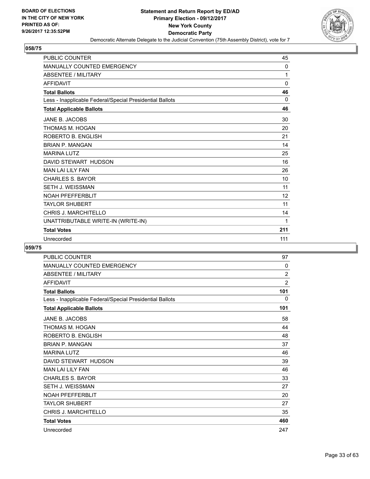

| <b>PUBLIC COUNTER</b>                                    | 45          |
|----------------------------------------------------------|-------------|
| <b>MANUALLY COUNTED EMERGENCY</b>                        | 0           |
| <b>ABSENTEE / MILITARY</b>                               | 1           |
| <b>AFFIDAVIT</b>                                         | $\mathbf 0$ |
| <b>Total Ballots</b>                                     | 46          |
| Less - Inapplicable Federal/Special Presidential Ballots | $\Omega$    |
| <b>Total Applicable Ballots</b>                          | 46          |
| JANE B. JACOBS                                           | 30          |
| THOMAS M. HOGAN                                          | 20          |
| ROBERTO B. ENGLISH                                       | 21          |
| <b>BRIAN P. MANGAN</b>                                   | 14          |
| <b>MARINA LUTZ</b>                                       | 25          |
| DAVID STEWART HUDSON                                     | 16          |
| <b>MAN LAI LILY FAN</b>                                  | 26          |
| <b>CHARLES S. BAYOR</b>                                  | 10          |
| <b>SETH J. WEISSMAN</b>                                  | 11          |
| <b>NOAH PFEFFERBLIT</b>                                  | 12          |
| <b>TAYLOR SHUBERT</b>                                    | 11          |
| CHRIS J. MARCHITELLO                                     | 14          |
| UNATTRIBUTABLE WRITE-IN (WRITE-IN)                       | 1           |
| <b>Total Votes</b>                                       | 211         |
| Unrecorded                                               | 111         |

| <b>PUBLIC COUNTER</b>                                    | 97             |
|----------------------------------------------------------|----------------|
| MANUALLY COUNTED EMERGENCY                               | 0              |
| <b>ABSENTEE / MILITARY</b>                               | $\overline{2}$ |
| <b>AFFIDAVIT</b>                                         | $\overline{2}$ |
| <b>Total Ballots</b>                                     | 101            |
| Less - Inapplicable Federal/Special Presidential Ballots | 0              |
| <b>Total Applicable Ballots</b>                          | 101            |
| JANE B. JACOBS                                           | 58             |
| THOMAS M. HOGAN                                          | 44             |
| ROBERTO B. ENGLISH                                       | 48             |
| <b>BRIAN P. MANGAN</b>                                   | 37             |
| <b>MARINA LUTZ</b>                                       | 46             |
| DAVID STEWART HUDSON                                     | 39             |
| <b>MAN LAI LILY FAN</b>                                  | 46             |
| <b>CHARLES S. BAYOR</b>                                  | 33             |
| <b>SETH J. WEISSMAN</b>                                  | 27             |
| <b>NOAH PFEFFERBLIT</b>                                  | 20             |
| <b>TAYLOR SHUBERT</b>                                    | 27             |
| <b>CHRIS J. MARCHITELLO</b>                              | 35             |
| <b>Total Votes</b>                                       | 460            |
| Unrecorded                                               | 247            |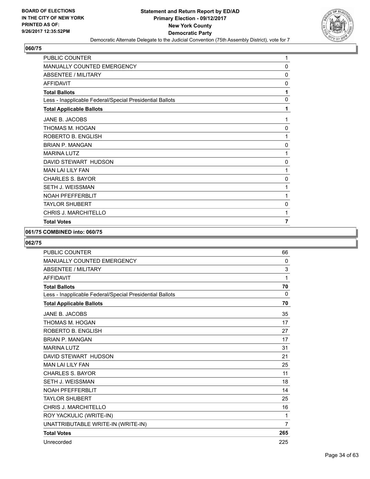

| PUBLIC COUNTER                                           | 1              |
|----------------------------------------------------------|----------------|
| <b>MANUALLY COUNTED EMERGENCY</b>                        | 0              |
| <b>ABSENTEE / MILITARY</b>                               | 0              |
| <b>AFFIDAVIT</b>                                         | 0              |
| <b>Total Ballots</b>                                     | 1              |
| Less - Inapplicable Federal/Special Presidential Ballots | 0              |
| <b>Total Applicable Ballots</b>                          | 1              |
| JANE B. JACOBS                                           | 1              |
| THOMAS M. HOGAN                                          | 0              |
| ROBERTO B. ENGLISH                                       | 1              |
| <b>BRIAN P. MANGAN</b>                                   | 0              |
| <b>MARINA LUTZ</b>                                       | 1              |
| DAVID STEWART HUDSON                                     | 0              |
| <b>MAN LAI LILY FAN</b>                                  | 1              |
| <b>CHARLES S. BAYOR</b>                                  | 0              |
| <b>SETH J. WEISSMAN</b>                                  | 1              |
| <b>NOAH PFEFFERBLIT</b>                                  | 1              |
| <b>TAYLOR SHUBERT</b>                                    | 0              |
| <b>CHRIS J. MARCHITELLO</b>                              | 1              |
| <b>Total Votes</b>                                       | $\overline{7}$ |

#### **061/75 COMBINED into: 060/75**

| <b>PUBLIC COUNTER</b>                                    | 66             |
|----------------------------------------------------------|----------------|
| MANUALLY COUNTED EMERGENCY                               | $\mathbf{0}$   |
| <b>ABSENTEE / MILITARY</b>                               | 3              |
| <b>AFFIDAVIT</b>                                         | 1              |
| <b>Total Ballots</b>                                     | 70             |
| Less - Inapplicable Federal/Special Presidential Ballots | $\mathbf{0}$   |
| <b>Total Applicable Ballots</b>                          | 70             |
| JANE B. JACOBS                                           | 35             |
| THOMAS M. HOGAN                                          | 17             |
| ROBERTO B. ENGLISH                                       | 27             |
| <b>BRIAN P. MANGAN</b>                                   | 17             |
| <b>MARINA LUTZ</b>                                       | 31             |
| DAVID STEWART HUDSON                                     | 21             |
| <b>MAN LAI LILY FAN</b>                                  | 25             |
| <b>CHARLES S. BAYOR</b>                                  | 11             |
| <b>SETH J. WEISSMAN</b>                                  | 18             |
| <b>NOAH PFEFFERBLIT</b>                                  | 14             |
| <b>TAYLOR SHUBERT</b>                                    | 25             |
| <b>CHRIS J. MARCHITELLO</b>                              | 16             |
| ROY YACKULIC (WRITE-IN)                                  | 1              |
| UNATTRIBUTABLE WRITE-IN (WRITE-IN)                       | $\overline{7}$ |
| <b>Total Votes</b>                                       | 265            |
| Unrecorded                                               | 225            |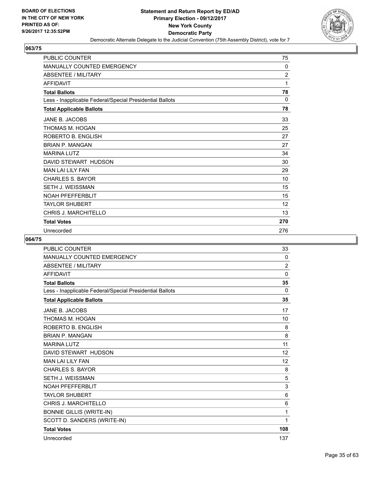

| <b>PUBLIC COUNTER</b>                                    | 75             |
|----------------------------------------------------------|----------------|
| <b>MANUALLY COUNTED EMERGENCY</b>                        | $\mathbf{0}$   |
| ABSENTEE / MILITARY                                      | $\overline{2}$ |
| <b>AFFIDAVIT</b>                                         | 1              |
| <b>Total Ballots</b>                                     | 78             |
| Less - Inapplicable Federal/Special Presidential Ballots | 0              |
| <b>Total Applicable Ballots</b>                          | 78             |
| JANE B. JACOBS                                           | 33             |
| THOMAS M. HOGAN                                          | 25             |
| ROBERTO B. ENGLISH                                       | 27             |
| <b>BRIAN P. MANGAN</b>                                   | 27             |
| <b>MARINA LUTZ</b>                                       | 34             |
| DAVID STEWART HUDSON                                     | 30             |
| <b>MAN LAI LILY FAN</b>                                  | 29             |
| <b>CHARLES S. BAYOR</b>                                  | 10             |
| <b>SETH J. WEISSMAN</b>                                  | 15             |
| <b>NOAH PFEFFERBLIT</b>                                  | 15             |
| <b>TAYLOR SHUBERT</b>                                    | 12             |
| <b>CHRIS J. MARCHITELLO</b>                              | 13             |
| <b>Total Votes</b>                                       | 270            |
| Unrecorded                                               | 276            |

| <b>PUBLIC COUNTER</b>                                    | 33             |
|----------------------------------------------------------|----------------|
| <b>MANUALLY COUNTED EMERGENCY</b>                        | 0              |
| ABSENTEE / MILITARY                                      | $\overline{2}$ |
| <b>AFFIDAVIT</b>                                         | $\mathbf{0}$   |
| <b>Total Ballots</b>                                     | 35             |
| Less - Inapplicable Federal/Special Presidential Ballots | 0              |
| <b>Total Applicable Ballots</b>                          | 35             |
| JANE B. JACOBS                                           | 17             |
| THOMAS M. HOGAN                                          | 10             |
| ROBERTO B. ENGLISH                                       | 8              |
| <b>BRIAN P. MANGAN</b>                                   | 8              |
| <b>MARINA LUTZ</b>                                       | 11             |
| DAVID STEWART HUDSON                                     | 12             |
| <b>MAN LAI LILY FAN</b>                                  | 12             |
| <b>CHARLES S. BAYOR</b>                                  | 8              |
| <b>SETH J. WEISSMAN</b>                                  | 5              |
| <b>NOAH PFEFFERBLIT</b>                                  | 3              |
| <b>TAYLOR SHUBERT</b>                                    | 6              |
| <b>CHRIS J. MARCHITELLO</b>                              | 6              |
| <b>BONNIE GILLIS (WRITE-IN)</b>                          | 1              |
| SCOTT D. SANDERS (WRITE-IN)                              | 1              |
| <b>Total Votes</b>                                       | 108            |
| Unrecorded                                               | 137            |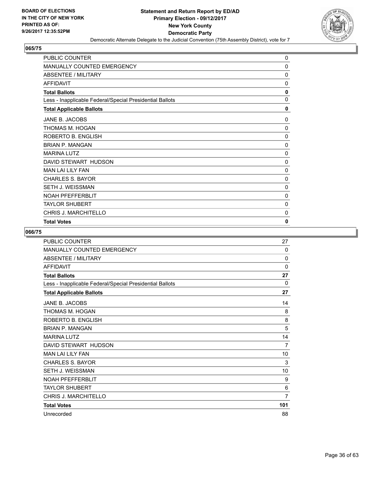

| <b>PUBLIC COUNTER</b>                                    | 0            |
|----------------------------------------------------------|--------------|
| <b>MANUALLY COUNTED EMERGENCY</b>                        | 0            |
| <b>ABSENTEE / MILITARY</b>                               | 0            |
| <b>AFFIDAVIT</b>                                         | 0            |
| <b>Total Ballots</b>                                     | 0            |
| Less - Inapplicable Federal/Special Presidential Ballots | 0            |
| <b>Total Applicable Ballots</b>                          | $\mathbf{0}$ |
| JANE B. JACOBS                                           | $\Omega$     |
| THOMAS M. HOGAN                                          | 0            |
| ROBERTO B. ENGLISH                                       | 0            |
| <b>BRIAN P. MANGAN</b>                                   | 0            |
| <b>MARINA LUTZ</b>                                       | 0            |
| DAVID STEWART HUDSON                                     | 0            |
| <b>MAN LAI LILY FAN</b>                                  | 0            |
| <b>CHARLES S. BAYOR</b>                                  | 0            |
| SETH J. WEISSMAN                                         | 0            |
| <b>NOAH PFEFFERBLIT</b>                                  | 0            |
| <b>TAYLOR SHUBERT</b>                                    | 0            |
| <b>CHRIS J. MARCHITELLO</b>                              | 0            |
| <b>Total Votes</b>                                       | 0            |

| <b>PUBLIC COUNTER</b>                                    | 27             |
|----------------------------------------------------------|----------------|
| MANUALLY COUNTED EMERGENCY                               | 0              |
| <b>ABSENTEE / MILITARY</b>                               | 0              |
| <b>AFFIDAVIT</b>                                         | 0              |
| <b>Total Ballots</b>                                     | 27             |
| Less - Inapplicable Federal/Special Presidential Ballots | $\Omega$       |
| <b>Total Applicable Ballots</b>                          | 27             |
| JANE B. JACOBS                                           | 14             |
| THOMAS M. HOGAN                                          | 8              |
| ROBERTO B. ENGLISH                                       | 8              |
| <b>BRIAN P. MANGAN</b>                                   | 5              |
| <b>MARINA LUTZ</b>                                       | 14             |
| DAVID STEWART HUDSON                                     | 7              |
| <b>MAN LAI LILY FAN</b>                                  | 10             |
| <b>CHARLES S. BAYOR</b>                                  | 3              |
| <b>SETH J. WEISSMAN</b>                                  | 10             |
| <b>NOAH PFEFFERBLIT</b>                                  | 9              |
| <b>TAYLOR SHUBERT</b>                                    | 6              |
| <b>CHRIS J. MARCHITELLO</b>                              | $\overline{7}$ |
| <b>Total Votes</b>                                       | 101            |
| Unrecorded                                               | 88             |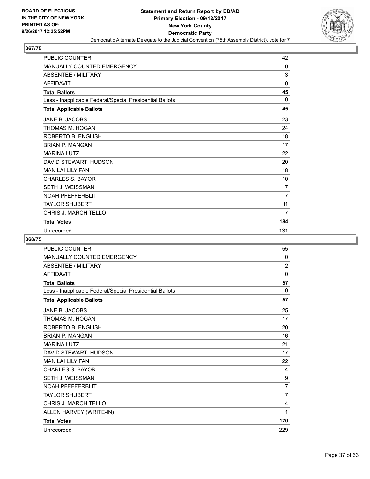

| <b>PUBLIC COUNTER</b>                                    | 42             |
|----------------------------------------------------------|----------------|
| <b>MANUALLY COUNTED EMERGENCY</b>                        | 0              |
| <b>ABSENTEE / MILITARY</b>                               | 3              |
| <b>AFFIDAVIT</b>                                         | $\mathbf 0$    |
| <b>Total Ballots</b>                                     | 45             |
| Less - Inapplicable Federal/Special Presidential Ballots | 0              |
| <b>Total Applicable Ballots</b>                          | 45             |
| JANE B. JACOBS                                           | 23             |
| THOMAS M. HOGAN                                          | 24             |
| ROBERTO B. ENGLISH                                       | 18             |
| <b>BRIAN P. MANGAN</b>                                   | 17             |
| <b>MARINA LUTZ</b>                                       | 22             |
| DAVID STEWART HUDSON                                     | 20             |
| <b>MAN LAI LILY FAN</b>                                  | 18             |
| <b>CHARLES S. BAYOR</b>                                  | 10             |
| SETH J. WEISSMAN                                         | 7              |
| <b>NOAH PFEFFERBLIT</b>                                  | $\overline{7}$ |
| <b>TAYLOR SHUBERT</b>                                    | 11             |
| <b>CHRIS J. MARCHITELLO</b>                              | 7              |
| <b>Total Votes</b>                                       | 184            |
| Unrecorded                                               | 131            |

| <b>PUBLIC COUNTER</b>                                    | 55             |
|----------------------------------------------------------|----------------|
| <b>MANUALLY COUNTED EMERGENCY</b>                        | 0              |
| <b>ABSENTEE / MILITARY</b>                               | $\overline{2}$ |
| <b>AFFIDAVIT</b>                                         | $\mathbf{0}$   |
| <b>Total Ballots</b>                                     | 57             |
| Less - Inapplicable Federal/Special Presidential Ballots | $\Omega$       |
| <b>Total Applicable Ballots</b>                          | 57             |
| JANE B. JACOBS                                           | 25             |
| THOMAS M. HOGAN                                          | 17             |
| ROBERTO B. ENGLISH                                       | 20             |
| <b>BRIAN P. MANGAN</b>                                   | 16             |
| <b>MARINA LUTZ</b>                                       | 21             |
| DAVID STEWART HUDSON                                     | 17             |
| <b>MAN LAI LILY FAN</b>                                  | 22             |
| <b>CHARLES S. BAYOR</b>                                  | 4              |
| <b>SETH J. WEISSMAN</b>                                  | 9              |
| <b>NOAH PFEFFERBLIT</b>                                  | $\overline{7}$ |
| <b>TAYLOR SHUBERT</b>                                    | $\overline{7}$ |
| CHRIS J. MARCHITELLO                                     | 4              |
| ALLEN HARVEY (WRITE-IN)                                  | 1              |
| <b>Total Votes</b>                                       | 170            |
| Unrecorded                                               | 229            |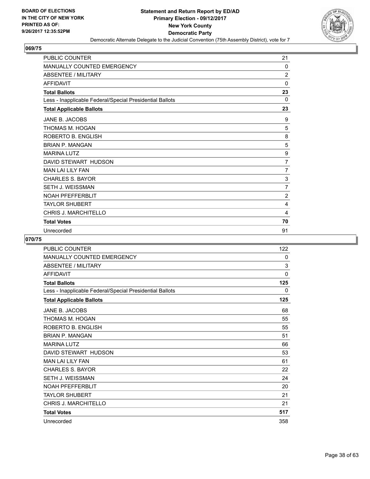

| <b>PUBLIC COUNTER</b>                                    | 21             |
|----------------------------------------------------------|----------------|
| <b>MANUALLY COUNTED EMERGENCY</b>                        | 0              |
| <b>ABSENTEE / MILITARY</b>                               | $\overline{2}$ |
| <b>AFFIDAVIT</b>                                         | 0              |
| <b>Total Ballots</b>                                     | 23             |
| Less - Inapplicable Federal/Special Presidential Ballots | 0              |
| <b>Total Applicable Ballots</b>                          | 23             |
| JANE B. JACOBS                                           | 9              |
| THOMAS M. HOGAN                                          | 5              |
| ROBERTO B. ENGLISH                                       | 8              |
| <b>BRIAN P. MANGAN</b>                                   | 5              |
| <b>MARINA LUTZ</b>                                       | 9              |
| DAVID STEWART HUDSON                                     | $\overline{7}$ |
| <b>MAN LAI LILY FAN</b>                                  | 7              |
| <b>CHARLES S. BAYOR</b>                                  | 3              |
| <b>SETH J. WEISSMAN</b>                                  | $\overline{7}$ |
| <b>NOAH PFEFFERBLIT</b>                                  | $\overline{2}$ |
| <b>TAYLOR SHUBERT</b>                                    | 4              |
| <b>CHRIS J. MARCHITELLO</b>                              | 4              |
| <b>Total Votes</b>                                       | 70             |
| Unrecorded                                               | 91             |

| PUBLIC COUNTER                                           | 122 |
|----------------------------------------------------------|-----|
| <b>MANUALLY COUNTED EMERGENCY</b>                        | 0   |
| <b>ABSENTEE / MILITARY</b>                               | 3   |
| <b>AFFIDAVIT</b>                                         | 0   |
| <b>Total Ballots</b>                                     | 125 |
| Less - Inapplicable Federal/Special Presidential Ballots | 0   |
| <b>Total Applicable Ballots</b>                          | 125 |
| JANE B. JACOBS                                           | 68  |
| THOMAS M. HOGAN                                          | 55  |
| ROBERTO B. ENGLISH                                       | 55  |
| <b>BRIAN P. MANGAN</b>                                   | 51  |
| <b>MARINA LUTZ</b>                                       | 66  |
| DAVID STEWART HUDSON                                     | 53  |
| <b>MAN LAI LILY FAN</b>                                  | 61  |
| <b>CHARLES S. BAYOR</b>                                  | 22  |
| <b>SETH J. WEISSMAN</b>                                  | 24  |
| <b>NOAH PFEFFERBLIT</b>                                  | 20  |
| <b>TAYLOR SHUBERT</b>                                    | 21  |
| <b>CHRIS J. MARCHITELLO</b>                              | 21  |
| <b>Total Votes</b>                                       | 517 |
| Unrecorded                                               | 358 |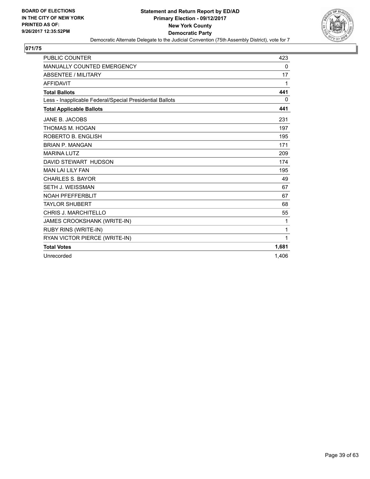

| <b>PUBLIC COUNTER</b>                                    | 423   |
|----------------------------------------------------------|-------|
| MANUALLY COUNTED EMERGENCY                               | 0     |
| <b>ABSENTEE / MILITARY</b>                               | 17    |
| <b>AFFIDAVIT</b>                                         | 1     |
| <b>Total Ballots</b>                                     | 441   |
| Less - Inapplicable Federal/Special Presidential Ballots | 0     |
| <b>Total Applicable Ballots</b>                          | 441   |
| JANE B. JACOBS                                           | 231   |
| THOMAS M. HOGAN                                          | 197   |
| ROBERTO B. ENGLISH                                       | 195   |
| <b>BRIAN P. MANGAN</b>                                   | 171   |
| <b>MARINA LUTZ</b>                                       | 209   |
| DAVID STEWART HUDSON                                     | 174   |
| <b>MAN LAI LILY FAN</b>                                  | 195   |
| <b>CHARLES S. BAYOR</b>                                  | 49    |
| SETH J. WEISSMAN                                         | 67    |
| <b>NOAH PFEFFERBLIT</b>                                  | 67    |
| <b>TAYLOR SHUBERT</b>                                    | 68    |
| CHRIS J. MARCHITELLO                                     | 55    |
| JAMES CROOKSHANK (WRITE-IN)                              | 1     |
| RUBY RINS (WRITE-IN)                                     | 1     |
| RYAN VICTOR PIERCE (WRITE-IN)                            | 1     |
| <b>Total Votes</b>                                       | 1,681 |
| Unrecorded                                               | 1.406 |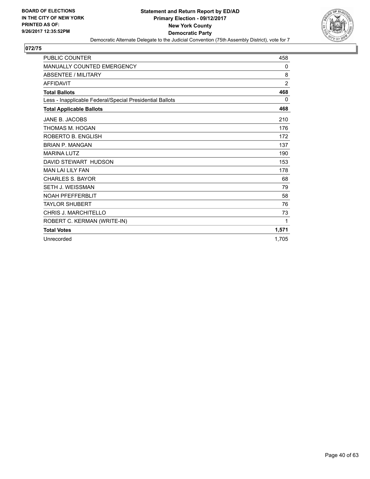

| <b>PUBLIC COUNTER</b>                                    | 458            |
|----------------------------------------------------------|----------------|
| MANUALLY COUNTED EMERGENCY                               | 0              |
| <b>ABSENTEE / MILITARY</b>                               | 8              |
| <b>AFFIDAVIT</b>                                         | $\overline{2}$ |
| <b>Total Ballots</b>                                     | 468            |
| Less - Inapplicable Federal/Special Presidential Ballots | 0              |
| <b>Total Applicable Ballots</b>                          | 468            |
| JANE B. JACOBS                                           | 210            |
| THOMAS M. HOGAN                                          | 176            |
| ROBERTO B. ENGLISH                                       | 172            |
| <b>BRIAN P. MANGAN</b>                                   | 137            |
| <b>MARINA LUTZ</b>                                       | 190            |
| DAVID STEWART HUDSON                                     | 153            |
| <b>MAN LAI LILY FAN</b>                                  | 178            |
| <b>CHARLES S. BAYOR</b>                                  | 68             |
| <b>SETH J. WEISSMAN</b>                                  | 79             |
| <b>NOAH PFEFFERBLIT</b>                                  | 58             |
| <b>TAYLOR SHUBERT</b>                                    | 76             |
| <b>CHRIS J. MARCHITELLO</b>                              | 73             |
| ROBERT C. KERMAN (WRITE-IN)                              | 1              |
| <b>Total Votes</b>                                       | 1,571          |
| Unrecorded                                               | 1.705          |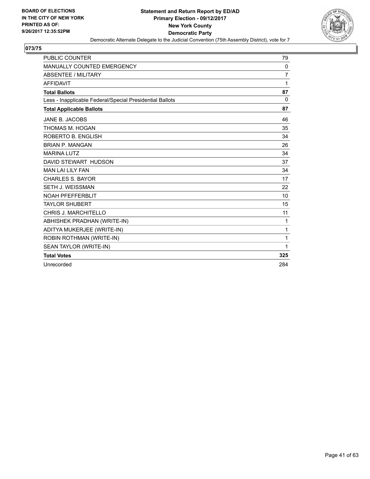

| <b>PUBLIC COUNTER</b>                                    | 79             |
|----------------------------------------------------------|----------------|
| MANUALLY COUNTED EMERGENCY                               | 0              |
| <b>ABSENTEE / MILITARY</b>                               | $\overline{7}$ |
| <b>AFFIDAVIT</b>                                         | 1              |
| <b>Total Ballots</b>                                     | 87             |
| Less - Inapplicable Federal/Special Presidential Ballots | 0              |
| <b>Total Applicable Ballots</b>                          | 87             |
| JANE B. JACOBS                                           | 46             |
| THOMAS M. HOGAN                                          | 35             |
| ROBERTO B. ENGLISH                                       | 34             |
| <b>BRIAN P. MANGAN</b>                                   | 26             |
| <b>MARINA LUTZ</b>                                       | 34             |
| DAVID STEWART HUDSON                                     | 37             |
| <b>MAN LAI LILY FAN</b>                                  | 34             |
| <b>CHARLES S. BAYOR</b>                                  | 17             |
| SETH J. WEISSMAN                                         | 22             |
| <b>NOAH PFEFFERBLIT</b>                                  | 10             |
| <b>TAYLOR SHUBERT</b>                                    | 15             |
| <b>CHRIS J. MARCHITELLO</b>                              | 11             |
| ABHISHEK PRADHAN (WRITE-IN)                              | 1              |
| ADITYA MUKERJEE (WRITE-IN)                               | 1              |
| ROBIN ROTHMAN (WRITE-IN)                                 | 1              |
| SEAN TAYLOR (WRITE-IN)                                   | 1              |
| <b>Total Votes</b>                                       | 325            |
| Unrecorded                                               | 284            |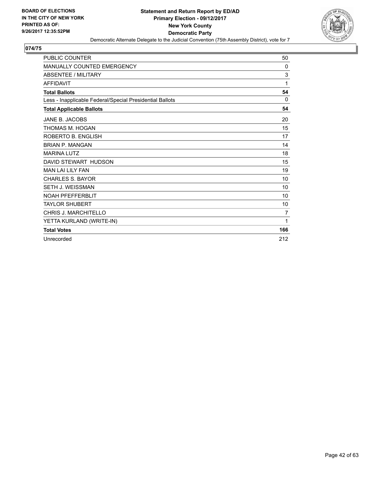

| <b>PUBLIC COUNTER</b>                                    | 50  |
|----------------------------------------------------------|-----|
| <b>MANUALLY COUNTED EMERGENCY</b>                        | 0   |
| <b>ABSENTEE / MILITARY</b>                               | 3   |
| <b>AFFIDAVIT</b>                                         | 1   |
| <b>Total Ballots</b>                                     | 54  |
| Less - Inapplicable Federal/Special Presidential Ballots | 0   |
| <b>Total Applicable Ballots</b>                          | 54  |
| JANE B. JACOBS                                           | 20  |
| THOMAS M. HOGAN                                          | 15  |
| ROBERTO B. ENGLISH                                       | 17  |
| <b>BRIAN P. MANGAN</b>                                   | 14  |
| <b>MARINA LUTZ</b>                                       | 18  |
| DAVID STEWART HUDSON                                     | 15  |
| <b>MAN LAI LILY FAN</b>                                  | 19  |
| <b>CHARLES S. BAYOR</b>                                  | 10  |
| <b>SETH J. WEISSMAN</b>                                  | 10  |
| <b>NOAH PFEFFERBLIT</b>                                  | 10  |
| <b>TAYLOR SHUBERT</b>                                    | 10  |
| <b>CHRIS J. MARCHITELLO</b>                              | 7   |
| YETTA KURLAND (WRITE-IN)                                 | 1   |
| <b>Total Votes</b>                                       | 166 |
| Unrecorded                                               | 212 |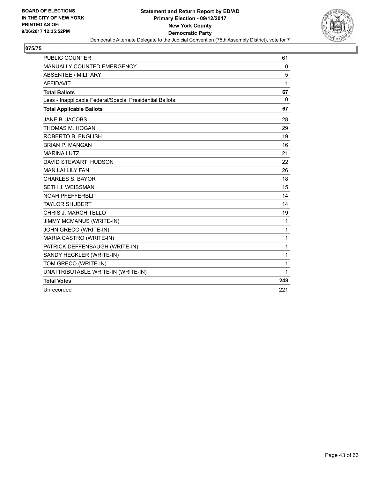

| <b>PUBLIC COUNTER</b>                                    | 61           |
|----------------------------------------------------------|--------------|
| MANUALLY COUNTED EMERGENCY                               | 0            |
| <b>ABSENTEE / MILITARY</b>                               | 5            |
| <b>AFFIDAVIT</b>                                         | 1            |
| <b>Total Ballots</b>                                     | 67           |
| Less - Inapplicable Federal/Special Presidential Ballots | $\mathbf{0}$ |
| <b>Total Applicable Ballots</b>                          | 67           |
| JANE B. JACOBS                                           | 28           |
| THOMAS M. HOGAN                                          | 29           |
| ROBERTO B. ENGLISH                                       | 19           |
| <b>BRIAN P. MANGAN</b>                                   | 16           |
| <b>MARINA LUTZ</b>                                       | 21           |
| DAVID STEWART HUDSON                                     | 22           |
| <b>MAN LAI LILY FAN</b>                                  | 26           |
| <b>CHARLES S. BAYOR</b>                                  | 18           |
| SETH J. WEISSMAN                                         | 15           |
| <b>NOAH PFEFFERBLIT</b>                                  | 14           |
| <b>TAYLOR SHUBERT</b>                                    | 14           |
| CHRIS J. MARCHITELLO                                     | 19           |
| <b>JIMMY MCMANUS (WRITE-IN)</b>                          | 1            |
| JOHN GRECO (WRITE-IN)                                    | 1            |
| MARIA CASTRO (WRITE-IN)                                  | 1            |
| PATRICK DEFFENBAUGH (WRITE-IN)                           | $\mathbf{1}$ |
| SANDY HECKLER (WRITE-IN)                                 | 1            |
| TOM GRECO (WRITE-IN)                                     | 1            |
| UNATTRIBUTABLE WRITE-IN (WRITE-IN)                       | 1            |
| <b>Total Votes</b>                                       | 248          |
| Unrecorded                                               | 221          |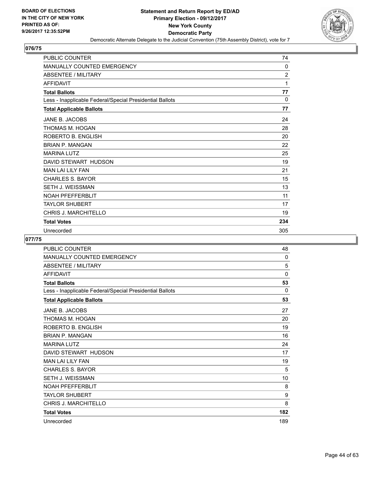

| <b>PUBLIC COUNTER</b>                                    | 74             |
|----------------------------------------------------------|----------------|
| <b>MANUALLY COUNTED EMERGENCY</b>                        | 0              |
| <b>ABSENTEE / MILITARY</b>                               | $\overline{2}$ |
| <b>AFFIDAVIT</b>                                         | 1              |
| <b>Total Ballots</b>                                     | 77             |
| Less - Inapplicable Federal/Special Presidential Ballots | 0              |
| <b>Total Applicable Ballots</b>                          | 77             |
| JANE B. JACOBS                                           | 24             |
| THOMAS M. HOGAN                                          | 28             |
| ROBERTO B. ENGLISH                                       | 20             |
| <b>BRIAN P. MANGAN</b>                                   | 22             |
| <b>MARINA LUTZ</b>                                       | 25             |
| DAVID STEWART HUDSON                                     | 19             |
| <b>MAN LAI LILY FAN</b>                                  | 21             |
| <b>CHARLES S. BAYOR</b>                                  | 15             |
| SETH J. WEISSMAN                                         | 13             |
| <b>NOAH PFEFFERBLIT</b>                                  | 11             |
| <b>TAYLOR SHUBERT</b>                                    | 17             |
| <b>CHRIS J. MARCHITELLO</b>                              | 19             |
| <b>Total Votes</b>                                       | 234            |
| Unrecorded                                               | 305            |

| PUBLIC COUNTER                                           | 48  |
|----------------------------------------------------------|-----|
| <b>MANUALLY COUNTED EMERGENCY</b>                        | 0   |
| <b>ABSENTEE / MILITARY</b>                               | 5   |
| <b>AFFIDAVIT</b>                                         | 0   |
| <b>Total Ballots</b>                                     | 53  |
| Less - Inapplicable Federal/Special Presidential Ballots | 0   |
| <b>Total Applicable Ballots</b>                          | 53  |
| JANE B. JACOBS                                           | 27  |
| THOMAS M. HOGAN                                          | 20  |
| ROBERTO B. ENGLISH                                       | 19  |
| <b>BRIAN P. MANGAN</b>                                   | 16  |
| <b>MARINA LUTZ</b>                                       | 24  |
| DAVID STEWART HUDSON                                     | 17  |
| <b>MAN LAI LILY FAN</b>                                  | 19  |
| <b>CHARLES S. BAYOR</b>                                  | 5   |
| <b>SETH J. WEISSMAN</b>                                  | 10  |
| <b>NOAH PFEFFERBLIT</b>                                  | 8   |
| <b>TAYLOR SHUBERT</b>                                    | 9   |
| CHRIS J. MARCHITELLO                                     | 8   |
| <b>Total Votes</b>                                       | 182 |
| Unrecorded                                               | 189 |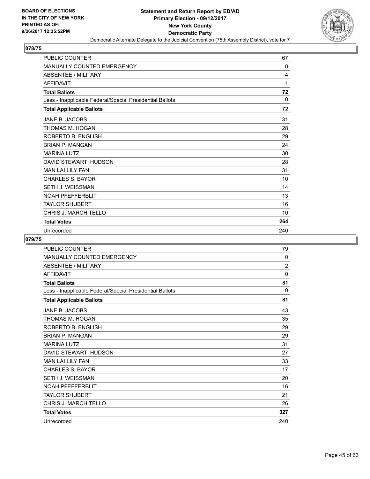

| <b>PUBLIC COUNTER</b>                                    | 67  |
|----------------------------------------------------------|-----|
| MANUALLY COUNTED EMERGENCY                               | 0   |
| <b>ABSENTEE / MILITARY</b>                               | 4   |
| <b>AFFIDAVIT</b>                                         | 1   |
| <b>Total Ballots</b>                                     | 72  |
| Less - Inapplicable Federal/Special Presidential Ballots | 0   |
| <b>Total Applicable Ballots</b>                          | 72  |
| JANE B. JACOBS                                           | 31  |
| THOMAS M. HOGAN                                          | 28  |
| ROBERTO B. ENGLISH                                       | 29  |
| <b>BRIAN P. MANGAN</b>                                   | 24  |
| <b>MARINA LUTZ</b>                                       | 30  |
| DAVID STEWART HUDSON                                     | 28  |
| <b>MAN LAI LILY FAN</b>                                  | 31  |
| <b>CHARLES S. BAYOR</b>                                  | 10  |
| SETH J. WEISSMAN                                         | 14  |
| <b>NOAH PFEFFERBLIT</b>                                  | 13  |
| <b>TAYLOR SHUBERT</b>                                    | 16  |
| <b>CHRIS J. MARCHITELLO</b>                              | 10  |
| <b>Total Votes</b>                                       | 264 |
| Unrecorded                                               | 240 |

| PUBLIC COUNTER                                           | 79             |
|----------------------------------------------------------|----------------|
| <b>MANUALLY COUNTED EMERGENCY</b>                        | 0              |
| <b>ABSENTEE / MILITARY</b>                               | $\overline{2}$ |
| <b>AFFIDAVIT</b>                                         | 0              |
| <b>Total Ballots</b>                                     | 81             |
| Less - Inapplicable Federal/Special Presidential Ballots | 0              |
| <b>Total Applicable Ballots</b>                          | 81             |
| JANE B. JACOBS                                           | 43             |
| THOMAS M. HOGAN                                          | 35             |
| ROBERTO B. ENGLISH                                       | 29             |
| <b>BRIAN P. MANGAN</b>                                   | 29             |
| <b>MARINA LUTZ</b>                                       | 31             |
| DAVID STEWART HUDSON                                     | 27             |
| <b>MAN LAI LILY FAN</b>                                  | 33             |
| <b>CHARLES S. BAYOR</b>                                  | 17             |
| <b>SETH J. WEISSMAN</b>                                  | 20             |
| <b>NOAH PFEFFERBLIT</b>                                  | 16             |
| <b>TAYLOR SHUBERT</b>                                    | 21             |
| <b>CHRIS J. MARCHITELLO</b>                              | 26             |
| <b>Total Votes</b>                                       | 327            |
| Unrecorded                                               | 240            |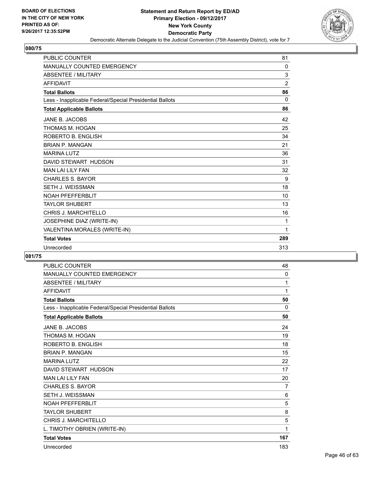

| <b>PUBLIC COUNTER</b>                                    | 81             |
|----------------------------------------------------------|----------------|
| <b>MANUALLY COUNTED EMERGENCY</b>                        | $\mathbf{0}$   |
| <b>ABSENTEE / MILITARY</b>                               | 3              |
| <b>AFFIDAVIT</b>                                         | $\overline{2}$ |
| <b>Total Ballots</b>                                     | 86             |
| Less - Inapplicable Federal/Special Presidential Ballots | $\Omega$       |
| <b>Total Applicable Ballots</b>                          | 86             |
| JANE B. JACOBS                                           | 42             |
| THOMAS M. HOGAN                                          | 25             |
| ROBERTO B. ENGLISH                                       | 34             |
| <b>BRIAN P. MANGAN</b>                                   | 21             |
| <b>MARINA LUTZ</b>                                       | 36             |
| DAVID STEWART HUDSON                                     | 31             |
| <b>MAN LAI LILY FAN</b>                                  | 32             |
| <b>CHARLES S. BAYOR</b>                                  | 9              |
| <b>SETH J. WEISSMAN</b>                                  | 18             |
| <b>NOAH PFEFFERBLIT</b>                                  | 10             |
| <b>TAYLOR SHUBERT</b>                                    | 13             |
| <b>CHRIS J. MARCHITELLO</b>                              | 16             |
| JOSEPHINE DIAZ (WRITE-IN)                                | 1              |
| VALENTINA MORALES (WRITE-IN)                             | 1              |
| <b>Total Votes</b>                                       | 289            |
| Unrecorded                                               | 313            |

| <b>PUBLIC COUNTER</b>                                    | 48           |
|----------------------------------------------------------|--------------|
| <b>MANUALLY COUNTED EMERGENCY</b>                        | $\mathbf{0}$ |
| <b>ABSENTEE / MILITARY</b>                               | 1            |
| <b>AFFIDAVIT</b>                                         | 1            |
| <b>Total Ballots</b>                                     | 50           |
| Less - Inapplicable Federal/Special Presidential Ballots | 0            |
| <b>Total Applicable Ballots</b>                          | 50           |
| JANE B. JACOBS                                           | 24           |
| THOMAS M. HOGAN                                          | 19           |
| ROBERTO B. ENGLISH                                       | 18           |
| <b>BRIAN P. MANGAN</b>                                   | 15           |
| <b>MARINA LUTZ</b>                                       | 22           |
| DAVID STEWART HUDSON                                     | 17           |
| <b>MAN LAI LILY FAN</b>                                  | 20           |
| <b>CHARLES S. BAYOR</b>                                  | 7            |
| <b>SETH J. WEISSMAN</b>                                  | 6            |
| <b>NOAH PFEFFERBLIT</b>                                  | 5            |
| <b>TAYLOR SHUBERT</b>                                    | 8            |
| CHRIS J. MARCHITELLO                                     | 5            |
| L. TIMOTHY OBRIEN (WRITE-IN)                             | 1            |
| <b>Total Votes</b>                                       | 167          |
| Unrecorded                                               | 183          |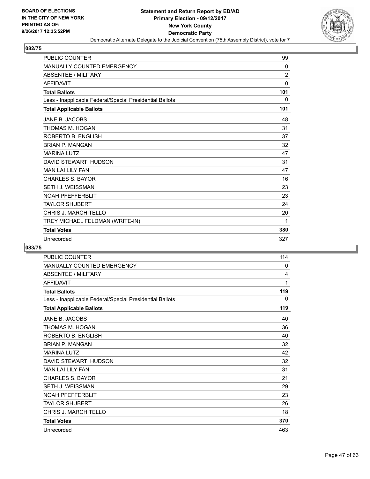

| <b>PUBLIC COUNTER</b>                                    | 99             |
|----------------------------------------------------------|----------------|
| <b>MANUALLY COUNTED EMERGENCY</b>                        | $\mathbf{0}$   |
| <b>ABSENTEE / MILITARY</b>                               | $\overline{2}$ |
| <b>AFFIDAVIT</b>                                         | 0              |
| <b>Total Ballots</b>                                     | 101            |
| Less - Inapplicable Federal/Special Presidential Ballots | 0              |
| <b>Total Applicable Ballots</b>                          | 101            |
| JANE B. JACOBS                                           | 48             |
| THOMAS M. HOGAN                                          | 31             |
| ROBERTO B. ENGLISH                                       | 37             |
| <b>BRIAN P. MANGAN</b>                                   | 32             |
| <b>MARINA LUTZ</b>                                       | 47             |
| DAVID STEWART HUDSON                                     | 31             |
| <b>MAN LAI LILY FAN</b>                                  | 47             |
| <b>CHARLES S. BAYOR</b>                                  | 16             |
| SETH J. WEISSMAN                                         | 23             |
| <b>NOAH PFEFFERBLIT</b>                                  | 23             |
| <b>TAYLOR SHUBERT</b>                                    | 24             |
| CHRIS J. MARCHITELLO                                     | 20             |
| TREY MICHAEL FELDMAN (WRITE-IN)                          | 1              |
| <b>Total Votes</b>                                       | 380            |
| Unrecorded                                               | 327            |

| <b>PUBLIC COUNTER</b>                                    | 114 |
|----------------------------------------------------------|-----|
| MANUALLY COUNTED EMERGENCY                               | 0   |
| <b>ABSENTEE / MILITARY</b>                               | 4   |
| <b>AFFIDAVIT</b>                                         | 1   |
| <b>Total Ballots</b>                                     | 119 |
| Less - Inapplicable Federal/Special Presidential Ballots | 0   |
| <b>Total Applicable Ballots</b>                          | 119 |
| JANE B. JACOBS                                           | 40  |
| THOMAS M. HOGAN                                          | 36  |
| ROBERTO B. ENGLISH                                       | 40  |
| <b>BRIAN P. MANGAN</b>                                   | 32  |
| <b>MARINA LUTZ</b>                                       | 42  |
| DAVID STEWART HUDSON                                     | 32  |
| <b>MAN LAI LILY FAN</b>                                  | 31  |
| <b>CHARLES S. BAYOR</b>                                  | 21  |
| <b>SETH J. WEISSMAN</b>                                  | 29  |
| <b>NOAH PFEFFERBLIT</b>                                  | 23  |
| <b>TAYLOR SHUBERT</b>                                    | 26  |
| <b>CHRIS J. MARCHITELLO</b>                              | 18  |
| <b>Total Votes</b>                                       | 370 |
| Unrecorded                                               | 463 |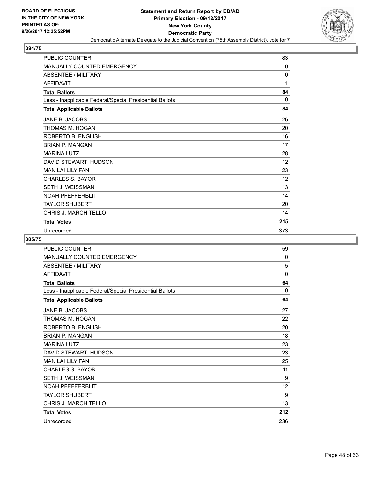

| <b>PUBLIC COUNTER</b>                                    | 83           |
|----------------------------------------------------------|--------------|
| <b>MANUALLY COUNTED EMERGENCY</b>                        | $\Omega$     |
| <b>ABSENTEE / MILITARY</b>                               | $\mathbf{0}$ |
| <b>AFFIDAVIT</b>                                         | 1            |
| <b>Total Ballots</b>                                     | 84           |
| Less - Inapplicable Federal/Special Presidential Ballots | 0            |
| <b>Total Applicable Ballots</b>                          | 84           |
| JANE B. JACOBS                                           | 26           |
| THOMAS M. HOGAN                                          | 20           |
| ROBERTO B. ENGLISH                                       | 16           |
| <b>BRIAN P. MANGAN</b>                                   | 17           |
| <b>MARINA LUTZ</b>                                       | 28           |
| DAVID STEWART HUDSON                                     | 12           |
| <b>MAN LAI LILY FAN</b>                                  | 23           |
| <b>CHARLES S. BAYOR</b>                                  | 12           |
| <b>SETH J. WEISSMAN</b>                                  | 13           |
| <b>NOAH PFEFFERBLIT</b>                                  | 14           |
| <b>TAYLOR SHUBERT</b>                                    | 20           |
| <b>CHRIS J. MARCHITELLO</b>                              | 14           |
| <b>Total Votes</b>                                       | 215          |
| Unrecorded                                               | 373          |

| <b>MANUALLY COUNTED EMERGENCY</b><br><b>ABSENTEE / MILITARY</b><br><b>AFFIDAVIT</b><br><b>Total Ballots</b><br>Less - Inapplicable Federal/Special Presidential Ballots<br><b>Total Applicable Ballots</b><br>JANE B. JACOBS<br>THOMAS M. HOGAN<br>ROBERTO B. ENGLISH<br><b>BRIAN P. MANGAN</b><br><b>MARINA LUTZ</b><br>DAVID STEWART HUDSON<br><b>MAN LAI LILY FAN</b><br><b>CHARLES S. BAYOR</b><br><b>SETH J. WEISSMAN</b><br><b>NOAH PFEFFERBLIT</b><br><b>TAYLOR SHUBERT</b> | 59           |
|------------------------------------------------------------------------------------------------------------------------------------------------------------------------------------------------------------------------------------------------------------------------------------------------------------------------------------------------------------------------------------------------------------------------------------------------------------------------------------|--------------|
|                                                                                                                                                                                                                                                                                                                                                                                                                                                                                    | 0            |
|                                                                                                                                                                                                                                                                                                                                                                                                                                                                                    | 5            |
|                                                                                                                                                                                                                                                                                                                                                                                                                                                                                    | $\mathbf{0}$ |
|                                                                                                                                                                                                                                                                                                                                                                                                                                                                                    | 64           |
|                                                                                                                                                                                                                                                                                                                                                                                                                                                                                    | 0            |
|                                                                                                                                                                                                                                                                                                                                                                                                                                                                                    | 64           |
|                                                                                                                                                                                                                                                                                                                                                                                                                                                                                    | 27           |
|                                                                                                                                                                                                                                                                                                                                                                                                                                                                                    | 22           |
|                                                                                                                                                                                                                                                                                                                                                                                                                                                                                    | 20           |
|                                                                                                                                                                                                                                                                                                                                                                                                                                                                                    | 18           |
|                                                                                                                                                                                                                                                                                                                                                                                                                                                                                    | 23           |
|                                                                                                                                                                                                                                                                                                                                                                                                                                                                                    | 23           |
|                                                                                                                                                                                                                                                                                                                                                                                                                                                                                    | 25           |
|                                                                                                                                                                                                                                                                                                                                                                                                                                                                                    | 11           |
|                                                                                                                                                                                                                                                                                                                                                                                                                                                                                    | 9            |
|                                                                                                                                                                                                                                                                                                                                                                                                                                                                                    | 12           |
|                                                                                                                                                                                                                                                                                                                                                                                                                                                                                    | 9            |
| <b>CHRIS J. MARCHITELLO</b>                                                                                                                                                                                                                                                                                                                                                                                                                                                        | 13           |
| <b>Total Votes</b>                                                                                                                                                                                                                                                                                                                                                                                                                                                                 | 212          |
| Unrecorded                                                                                                                                                                                                                                                                                                                                                                                                                                                                         | 236          |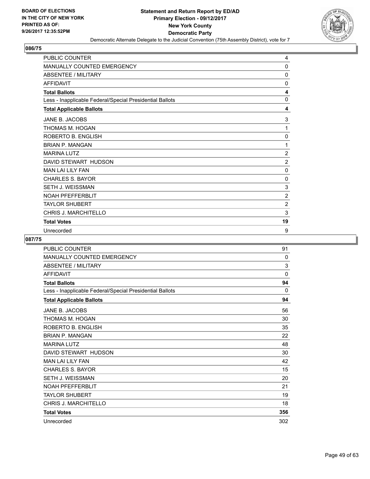

| <b>PUBLIC COUNTER</b>                                    | 4              |
|----------------------------------------------------------|----------------|
| <b>MANUALLY COUNTED EMERGENCY</b>                        | 0              |
| <b>ABSENTEE / MILITARY</b>                               | 0              |
| <b>AFFIDAVIT</b>                                         | 0              |
| <b>Total Ballots</b>                                     | 4              |
| Less - Inapplicable Federal/Special Presidential Ballots | $\Omega$       |
| <b>Total Applicable Ballots</b>                          | 4              |
| JANE B. JACOBS                                           | 3              |
| THOMAS M. HOGAN                                          | 1              |
| ROBERTO B. ENGLISH                                       | 0              |
| <b>BRIAN P. MANGAN</b>                                   | 1              |
| <b>MARINA LUTZ</b>                                       | $\overline{c}$ |
| DAVID STEWART HUDSON                                     | $\overline{2}$ |
| <b>MAN LAI LILY FAN</b>                                  | 0              |
| <b>CHARLES S. BAYOR</b>                                  | $\Omega$       |
| SETH J. WEISSMAN                                         | 3              |
| <b>NOAH PFEFFERBLIT</b>                                  | $\overline{2}$ |
| TAYLOR SHUBERT                                           | $\overline{2}$ |
| <b>CHRIS J. MARCHITELLO</b>                              | 3              |
| <b>Total Votes</b>                                       | 19             |
| Unrecorded                                               | 9              |

| PUBLIC COUNTER                                           | 91  |
|----------------------------------------------------------|-----|
| <b>MANUALLY COUNTED EMERGENCY</b>                        | 0   |
| <b>ABSENTEE / MILITARY</b>                               | 3   |
| <b>AFFIDAVIT</b>                                         | 0   |
| <b>Total Ballots</b>                                     | 94  |
| Less - Inapplicable Federal/Special Presidential Ballots | 0   |
| <b>Total Applicable Ballots</b>                          | 94  |
| JANE B. JACOBS                                           | 56  |
| THOMAS M. HOGAN                                          | 30  |
| ROBERTO B. ENGLISH                                       | 35  |
| <b>BRIAN P. MANGAN</b>                                   | 22  |
| <b>MARINA LUTZ</b>                                       | 48  |
| DAVID STEWART HUDSON                                     | 30  |
| <b>MAN LAI LILY FAN</b>                                  | 42  |
| <b>CHARLES S. BAYOR</b>                                  | 15  |
| <b>SETH J. WEISSMAN</b>                                  | 20  |
| <b>NOAH PFEFFERBLIT</b>                                  | 21  |
| <b>TAYLOR SHUBERT</b>                                    | 19  |
| <b>CHRIS J. MARCHITELLO</b>                              | 18  |
| <b>Total Votes</b>                                       | 356 |
| Unrecorded                                               | 302 |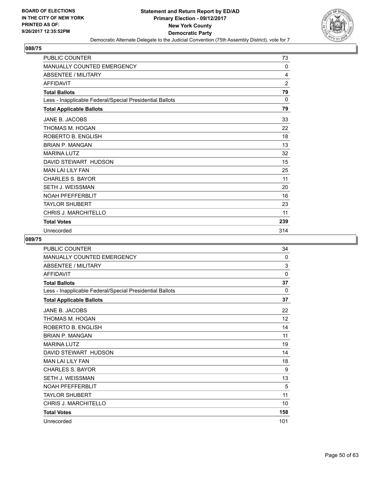

| <b>PUBLIC COUNTER</b>                                    | 73             |
|----------------------------------------------------------|----------------|
| <b>MANUALLY COUNTED EMERGENCY</b>                        | 0              |
| <b>ABSENTEE / MILITARY</b>                               | 4              |
| <b>AFFIDAVIT</b>                                         | $\overline{2}$ |
| <b>Total Ballots</b>                                     | 79             |
| Less - Inapplicable Federal/Special Presidential Ballots | $\Omega$       |
| <b>Total Applicable Ballots</b>                          | 79             |
| JANE B. JACOBS                                           | 33             |
| THOMAS M. HOGAN                                          | 22             |
| ROBERTO B. ENGLISH                                       | 18             |
| <b>BRIAN P. MANGAN</b>                                   | 13             |
| <b>MARINA LUTZ</b>                                       | 32             |
| DAVID STEWART HUDSON                                     | 15             |
| <b>MAN LAI LILY FAN</b>                                  | 25             |
| <b>CHARLES S. BAYOR</b>                                  | 11             |
| SETH J. WEISSMAN                                         | 20             |
| <b>NOAH PFEFFERBLIT</b>                                  | 16             |
| <b>TAYLOR SHUBERT</b>                                    | 23             |
| <b>CHRIS J. MARCHITELLO</b>                              | 11             |
| <b>Total Votes</b>                                       | 239            |
| Unrecorded                                               | 314            |

| PUBLIC COUNTER                                           | 34  |
|----------------------------------------------------------|-----|
| <b>MANUALLY COUNTED EMERGENCY</b>                        | 0   |
| <b>ABSENTEE / MILITARY</b>                               | 3   |
| <b>AFFIDAVIT</b>                                         | 0   |
| <b>Total Ballots</b>                                     | 37  |
| Less - Inapplicable Federal/Special Presidential Ballots | 0   |
| <b>Total Applicable Ballots</b>                          | 37  |
| JANE B. JACOBS                                           | 22  |
| THOMAS M. HOGAN                                          | 12  |
| ROBERTO B. ENGLISH                                       | 14  |
| <b>BRIAN P. MANGAN</b>                                   | 11  |
| <b>MARINA LUTZ</b>                                       | 19  |
| DAVID STEWART HUDSON                                     | 14  |
| <b>MAN LAI LILY FAN</b>                                  | 18  |
| <b>CHARLES S. BAYOR</b>                                  | 9   |
| <b>SETH J. WEISSMAN</b>                                  | 13  |
| <b>NOAH PFEFFERBLIT</b>                                  | 5   |
| <b>TAYLOR SHUBERT</b>                                    | 11  |
| CHRIS J. MARCHITELLO                                     | 10  |
| <b>Total Votes</b>                                       | 158 |
| Unrecorded                                               | 101 |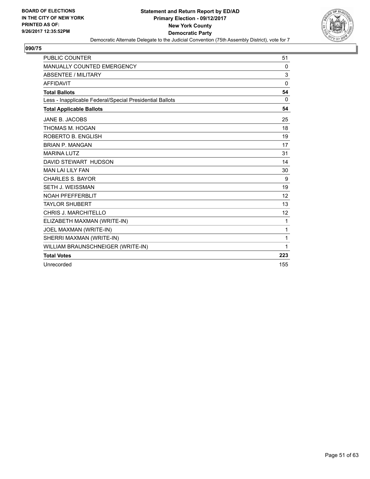

| <b>PUBLIC COUNTER</b>                                    | 51       |
|----------------------------------------------------------|----------|
| <b>MANUALLY COUNTED EMERGENCY</b>                        | 0        |
| <b>ABSENTEE / MILITARY</b>                               | 3        |
| <b>AFFIDAVIT</b>                                         | $\Omega$ |
| <b>Total Ballots</b>                                     | 54       |
| Less - Inapplicable Federal/Special Presidential Ballots | 0        |
| <b>Total Applicable Ballots</b>                          | 54       |
| <b>JANE B. JACOBS</b>                                    | 25       |
| THOMAS M. HOGAN                                          | 18       |
| ROBERTO B. ENGLISH                                       | 19       |
| <b>BRIAN P. MANGAN</b>                                   | 17       |
| <b>MARINA LUTZ</b>                                       | 31       |
| DAVID STEWART HUDSON                                     | 14       |
| <b>MAN LAI LILY FAN</b>                                  | 30       |
| <b>CHARLES S. BAYOR</b>                                  | 9        |
| <b>SETH J. WEISSMAN</b>                                  | 19       |
| <b>NOAH PFEFFERBLIT</b>                                  | 12       |
| <b>TAYLOR SHUBERT</b>                                    | 13       |
| <b>CHRIS J. MARCHITELLO</b>                              | 12       |
| ELIZABETH MAXMAN (WRITE-IN)                              | 1        |
| JOEL MAXMAN (WRITE-IN)                                   | 1        |
| SHERRI MAXMAN (WRITE-IN)                                 | 1        |
| WILLIAM BRAUNSCHNEIGER (WRITE-IN)                        | 1        |
| <b>Total Votes</b>                                       | 223      |
| Unrecorded                                               | 155      |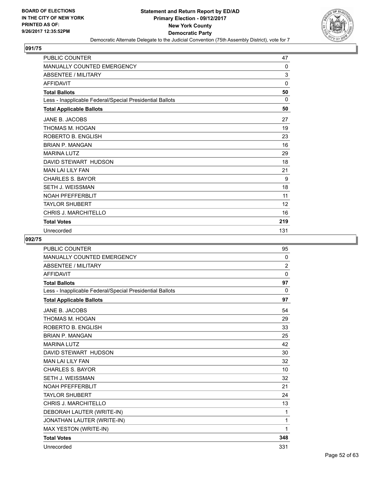

| <b>PUBLIC COUNTER</b>                                    | 47  |
|----------------------------------------------------------|-----|
| <b>MANUALLY COUNTED EMERGENCY</b>                        | 0   |
| <b>ABSENTEE / MILITARY</b>                               | 3   |
| <b>AFFIDAVIT</b>                                         | 0   |
| <b>Total Ballots</b>                                     | 50  |
| Less - Inapplicable Federal/Special Presidential Ballots | 0   |
| <b>Total Applicable Ballots</b>                          | 50  |
| JANE B. JACOBS                                           | 27  |
| THOMAS M. HOGAN                                          | 19  |
| ROBERTO B. ENGLISH                                       | 23  |
| <b>BRIAN P. MANGAN</b>                                   | 16  |
| <b>MARINA LUTZ</b>                                       | 29  |
| DAVID STEWART HUDSON                                     | 18  |
| <b>MAN LAI LILY FAN</b>                                  | 21  |
| <b>CHARLES S. BAYOR</b>                                  | 9   |
| <b>SETH J. WEISSMAN</b>                                  | 18  |
| <b>NOAH PFEFFERBLIT</b>                                  | 11  |
| <b>TAYLOR SHUBERT</b>                                    | 12  |
| <b>CHRIS J. MARCHITELLO</b>                              | 16  |
| <b>Total Votes</b>                                       | 219 |
| Unrecorded                                               | 131 |

| <b>PUBLIC COUNTER</b>                                    | 95             |
|----------------------------------------------------------|----------------|
| MANUALLY COUNTED EMERGENCY                               | 0              |
| <b>ABSENTEE / MILITARY</b>                               | $\overline{2}$ |
| <b>AFFIDAVIT</b>                                         | $\mathbf 0$    |
| <b>Total Ballots</b>                                     | 97             |
| Less - Inapplicable Federal/Special Presidential Ballots | $\Omega$       |
| <b>Total Applicable Ballots</b>                          | 97             |
| JANE B. JACOBS                                           | 54             |
| THOMAS M. HOGAN                                          | 29             |
| ROBERTO B. ENGLISH                                       | 33             |
| <b>BRIAN P. MANGAN</b>                                   | 25             |
| <b>MARINA LUTZ</b>                                       | 42             |
| DAVID STEWART HUDSON                                     | 30             |
| <b>MAN LAI LILY FAN</b>                                  | 32             |
| <b>CHARLES S. BAYOR</b>                                  | 10             |
| <b>SETH J. WEISSMAN</b>                                  | 32             |
| <b>NOAH PFEFFERBLIT</b>                                  | 21             |
| <b>TAYLOR SHUBERT</b>                                    | 24             |
| CHRIS J. MARCHITELLO                                     | 13             |
| DEBORAH LAUTER (WRITE-IN)                                | 1              |
| JONATHAN LAUTER (WRITE-IN)                               | 1              |
| MAX YESTON (WRITE-IN)                                    | 1              |
| <b>Total Votes</b>                                       | 348            |
| Unrecorded                                               | 331            |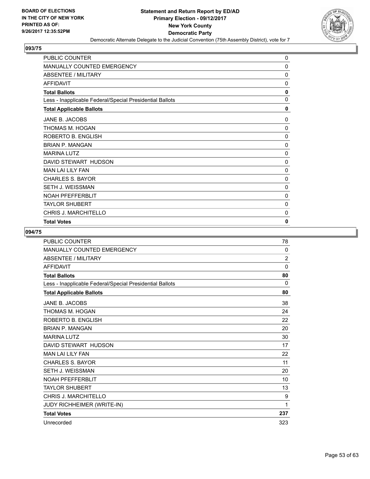

| <b>PUBLIC COUNTER</b>                                    | 0            |
|----------------------------------------------------------|--------------|
| MANUALLY COUNTED EMERGENCY                               | 0            |
| <b>ABSENTEE / MILITARY</b>                               | 0            |
| <b>AFFIDAVIT</b>                                         | 0            |
| <b>Total Ballots</b>                                     | 0            |
| Less - Inapplicable Federal/Special Presidential Ballots | $\Omega$     |
| <b>Total Applicable Ballots</b>                          | $\mathbf{0}$ |
| JANE B. JACOBS                                           | 0            |
| THOMAS M. HOGAN                                          | 0            |
| ROBERTO B. ENGLISH                                       | 0            |
| <b>BRIAN P. MANGAN</b>                                   | 0            |
| <b>MARINA LUTZ</b>                                       | 0            |
| DAVID STEWART HUDSON                                     | 0            |
| <b>MAN LAI LILY FAN</b>                                  | 0            |
| CHARLES S. BAYOR                                         | 0            |
| <b>SETH J. WEISSMAN</b>                                  | 0            |
| <b>NOAH PFEFFERBLIT</b>                                  | 0            |
| <b>TAYLOR SHUBERT</b>                                    | 0            |
| <b>CHRIS J. MARCHITELLO</b>                              | 0            |
| <b>Total Votes</b>                                       | 0            |

| <b>PUBLIC COUNTER</b>                                    | 78             |
|----------------------------------------------------------|----------------|
| <b>MANUALLY COUNTED EMERGENCY</b>                        | 0              |
| ABSENTEE / MILITARY                                      | $\overline{2}$ |
| <b>AFFIDAVIT</b>                                         | $\mathbf 0$    |
| <b>Total Ballots</b>                                     | 80             |
| Less - Inapplicable Federal/Special Presidential Ballots | 0              |
| <b>Total Applicable Ballots</b>                          | 80             |
| JANE B. JACOBS                                           | 38             |
| THOMAS M. HOGAN                                          | 24             |
| ROBERTO B. ENGLISH                                       | 22             |
| <b>BRIAN P. MANGAN</b>                                   | 20             |
| <b>MARINA LUTZ</b>                                       | 30             |
| DAVID STEWART HUDSON                                     | 17             |
| <b>MAN LAI LILY FAN</b>                                  | 22             |
| <b>CHARLES S. BAYOR</b>                                  | 11             |
| <b>SETH J. WEISSMAN</b>                                  | 20             |
| <b>NOAH PFEFFERBLIT</b>                                  | 10             |
| <b>TAYLOR SHUBERT</b>                                    | 13             |
| <b>CHRIS J. MARCHITELLO</b>                              | 9              |
| JUDY RICHHEIMER (WRITE-IN)                               | 1              |
| <b>Total Votes</b>                                       | 237            |
| Unrecorded                                               | 323            |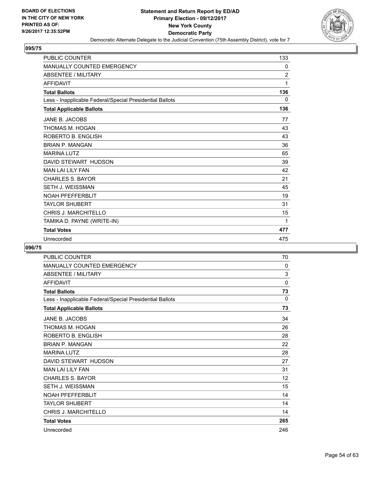

| <b>PUBLIC COUNTER</b>                                    | 133            |
|----------------------------------------------------------|----------------|
| <b>MANUALLY COUNTED EMERGENCY</b>                        | 0              |
| <b>ABSENTEE / MILITARY</b>                               | $\overline{c}$ |
| <b>AFFIDAVIT</b>                                         | 1              |
| <b>Total Ballots</b>                                     | 136            |
| Less - Inapplicable Federal/Special Presidential Ballots | 0              |
| <b>Total Applicable Ballots</b>                          | 136            |
| JANE B. JACOBS                                           | 77             |
| THOMAS M. HOGAN                                          | 43             |
| ROBERTO B. ENGLISH                                       | 43             |
| <b>BRIAN P. MANGAN</b>                                   | 36             |
| <b>MARINA LUTZ</b>                                       | 65             |
| DAVID STEWART HUDSON                                     | 39             |
| <b>MAN LAI LILY FAN</b>                                  | 42             |
| <b>CHARLES S. BAYOR</b>                                  | 21             |
| <b>SETH J. WEISSMAN</b>                                  | 45             |
| <b>NOAH PFEFFERBLIT</b>                                  | 19             |
| <b>TAYLOR SHUBERT</b>                                    | 31             |
| <b>CHRIS J. MARCHITELLO</b>                              | 15             |
| TAMIKA D. PAYNE (WRITE-IN)                               | 1              |
| <b>Total Votes</b>                                       | 477            |
| Unrecorded                                               | 475            |

| <b>PUBLIC COUNTER</b>                                    | 70  |
|----------------------------------------------------------|-----|
| MANUALLY COUNTED EMERGENCY                               | 0   |
| ABSENTEE / MILITARY                                      | 3   |
| <b>AFFIDAVIT</b>                                         | 0   |
| <b>Total Ballots</b>                                     | 73  |
| Less - Inapplicable Federal/Special Presidential Ballots | 0   |
| <b>Total Applicable Ballots</b>                          | 73  |
| JANE B. JACOBS                                           | 34  |
| THOMAS M. HOGAN                                          | 26  |
| ROBERTO B. ENGLISH                                       | 28  |
| <b>BRIAN P. MANGAN</b>                                   | 22  |
| <b>MARINA LUTZ</b>                                       | 28  |
| DAVID STEWART HUDSON                                     | 27  |
| <b>MAN LAI LILY FAN</b>                                  | 31  |
| <b>CHARLES S. BAYOR</b>                                  | 12  |
| <b>SETH J. WEISSMAN</b>                                  | 15  |
| <b>NOAH PFFFFFFRBI IT</b>                                | 14  |
| <b>TAYLOR SHUBERT</b>                                    | 14  |
| CHRIS J. MARCHITELLO                                     | 14  |
| <b>Total Votes</b>                                       | 265 |
| Unrecorded                                               | 246 |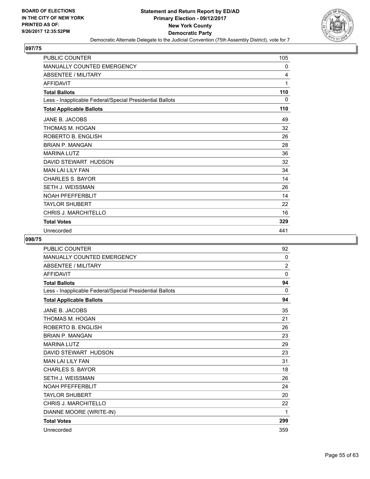

| <b>PUBLIC COUNTER</b>                                    | 105 |
|----------------------------------------------------------|-----|
| MANUALLY COUNTED EMERGENCY                               | 0   |
| <b>ABSENTEE / MILITARY</b>                               | 4   |
| <b>AFFIDAVIT</b>                                         | 1   |
| <b>Total Ballots</b>                                     | 110 |
| Less - Inapplicable Federal/Special Presidential Ballots | 0   |
| <b>Total Applicable Ballots</b>                          | 110 |
| JANE B. JACOBS                                           | 49  |
| THOMAS M. HOGAN                                          | 32  |
| ROBERTO B. ENGLISH                                       | 26  |
| <b>BRIAN P. MANGAN</b>                                   | 28  |
| <b>MARINA LUTZ</b>                                       | 36  |
| DAVID STEWART HUDSON                                     | 32  |
| <b>MAN LAI LILY FAN</b>                                  | 34  |
| <b>CHARLES S. BAYOR</b>                                  | 14  |
| SETH J. WEISSMAN                                         | 26  |
| <b>NOAH PFEFFERBLIT</b>                                  | 14  |
| <b>TAYLOR SHUBERT</b>                                    | 22  |
| <b>CHRIS J. MARCHITELLO</b>                              | 16  |
| <b>Total Votes</b>                                       | 329 |
| Unrecorded                                               | 441 |

| <b>PUBLIC COUNTER</b>                                    | 92             |
|----------------------------------------------------------|----------------|
| <b>MANUALLY COUNTED EMERGENCY</b>                        | 0              |
| <b>ABSENTEE / MILITARY</b>                               | $\overline{2}$ |
| <b>AFFIDAVIT</b>                                         | $\mathbf{0}$   |
| <b>Total Ballots</b>                                     | 94             |
| Less - Inapplicable Federal/Special Presidential Ballots | $\Omega$       |
| <b>Total Applicable Ballots</b>                          | 94             |
| JANE B. JACOBS                                           | 35             |
| THOMAS M. HOGAN                                          | 21             |
| ROBERTO B. ENGLISH                                       | 26             |
| <b>BRIAN P. MANGAN</b>                                   | 23             |
| <b>MARINA LUTZ</b>                                       | 29             |
| DAVID STEWART HUDSON                                     | 23             |
| <b>MAN LAI LILY FAN</b>                                  | 31             |
| <b>CHARLES S. BAYOR</b>                                  | 18             |
| SETH J. WEISSMAN                                         | 26             |
| <b>NOAH PFEFFERBLIT</b>                                  | 24             |
| <b>TAYLOR SHUBERT</b>                                    | 20             |
| <b>CHRIS J. MARCHITELLO</b>                              | 22             |
| DIANNE MOORE (WRITE-IN)                                  | 1              |
| <b>Total Votes</b>                                       | 299            |
| Unrecorded                                               | 359            |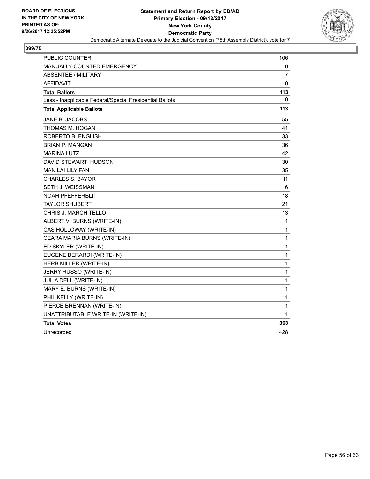

| PUBLIC COUNTER                                           | 106          |
|----------------------------------------------------------|--------------|
| MANUALLY COUNTED EMERGENCY                               | 0            |
| <b>ABSENTEE / MILITARY</b>                               | 7            |
| <b>AFFIDAVIT</b>                                         | 0            |
| <b>Total Ballots</b>                                     | 113          |
| Less - Inapplicable Federal/Special Presidential Ballots | 0            |
| <b>Total Applicable Ballots</b>                          | 113          |
| JANE B. JACOBS                                           | 55           |
| THOMAS M. HOGAN                                          | 41           |
| ROBERTO B. ENGLISH                                       | 33           |
| <b>BRIAN P. MANGAN</b>                                   | 36           |
| <b>MARINA LUTZ</b>                                       | 42           |
| DAVID STEWART HUDSON                                     | 30           |
| MAN LAI LILY FAN                                         | 35           |
| <b>CHARLES S. BAYOR</b>                                  | 11           |
| SETH J. WEISSMAN                                         | 16           |
| <b>NOAH PFEFFERBLIT</b>                                  | 18           |
| <b>TAYLOR SHUBERT</b>                                    | 21           |
| <b>CHRIS J. MARCHITELLO</b>                              | 13           |
| ALBERT V. BURNS (WRITE-IN)                               | 1            |
| CAS HOLLOWAY (WRITE-IN)                                  | 1            |
| CEARA MARIA BURNS (WRITE-IN)                             | 1            |
| ED SKYLER (WRITE-IN)                                     | $\mathbf{1}$ |
| EUGENE BERARDI (WRITE-IN)                                | $\mathbf 1$  |
| HERB MILLER (WRITE-IN)                                   | $\mathbf{1}$ |
| JERRY RUSSO (WRITE-IN)                                   | $\mathbf 1$  |
| JULIA DELL (WRITE-IN)                                    | $\mathbf{1}$ |
| MARY E. BURNS (WRITE-IN)                                 | $\mathbf 1$  |
| PHIL KELLY (WRITE-IN)                                    | 1            |
| PIERCE BRENNAN (WRITE-IN)                                | 1            |
| UNATTRIBUTABLE WRITE-IN (WRITE-IN)                       | 1            |
| <b>Total Votes</b>                                       | 363          |
| Unrecorded                                               | 428          |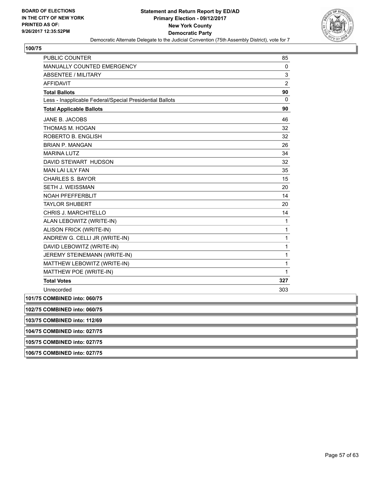

| <b>PUBLIC COUNTER</b>                                    | 85             |
|----------------------------------------------------------|----------------|
| MANUALLY COUNTED EMERGENCY                               | 0              |
| ABSENTEE / MILITARY                                      | 3              |
| <b>AFFIDAVIT</b>                                         | $\overline{2}$ |
| <b>Total Ballots</b>                                     | 90             |
| Less - Inapplicable Federal/Special Presidential Ballots | 0              |
| <b>Total Applicable Ballots</b>                          | 90             |
| JANE B. JACOBS                                           | 46             |
| THOMAS M. HOGAN                                          | 32             |
| ROBERTO B. ENGLISH                                       | 32             |
| <b>BRIAN P. MANGAN</b>                                   | 26             |
| <b>MARINA LUTZ</b>                                       | 34             |
| DAVID STEWART HUDSON                                     | 32             |
| <b>MAN LAI LILY FAN</b>                                  | 35             |
| <b>CHARLES S. BAYOR</b>                                  | 15             |
| <b>SETH J. WEISSMAN</b>                                  | 20             |
| <b>NOAH PFEFFERBLIT</b>                                  | 14             |
| <b>TAYLOR SHUBERT</b>                                    | 20             |
| CHRIS J. MARCHITELLO                                     | 14             |
| ALAN LEBOWITZ (WRITE-IN)                                 | 1              |
| ALISON FRICK (WRITE-IN)                                  | 1              |
| ANDREW G. CELLI JR (WRITE-IN)                            | 1              |
| DAVID LEBOWITZ (WRITE-IN)                                | 1              |
| JEREMY STEINEMANN (WRITE-IN)                             | 1              |
| MATTHEW LEBOWITZ (WRITE-IN)                              | 1              |
| MATTHEW POE (WRITE-IN)                                   | 1              |
| <b>Total Votes</b>                                       | 327            |
| Unrecorded                                               | 303            |
| 101/75 COMBINED into: 060/75                             |                |
| 102/75 COMBINED into: 060/75                             |                |
| 103/75 COMBINED into: 112/69                             |                |

**104/75 COMBINED into: 027/75**

**105/75 COMBINED into: 027/75**

**106/75 COMBINED into: 027/75**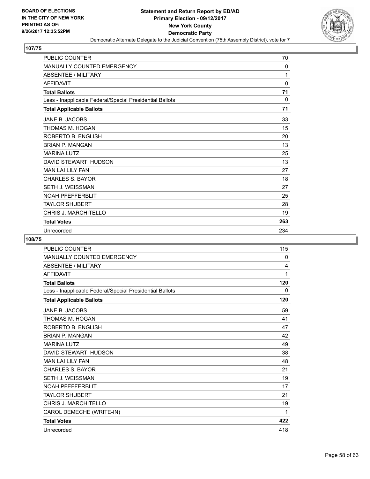

| <b>PUBLIC COUNTER</b>                                    | 70  |
|----------------------------------------------------------|-----|
| <b>MANUALLY COUNTED EMERGENCY</b>                        | 0   |
| <b>ABSENTEE / MILITARY</b>                               | 1   |
| <b>AFFIDAVIT</b>                                         | 0   |
| <b>Total Ballots</b>                                     | 71  |
| Less - Inapplicable Federal/Special Presidential Ballots | 0   |
| <b>Total Applicable Ballots</b>                          | 71  |
| JANE B. JACOBS                                           | 33  |
| THOMAS M. HOGAN                                          | 15  |
| ROBERTO B. ENGLISH                                       | 20  |
| <b>BRIAN P. MANGAN</b>                                   | 13  |
| <b>MARINA LUTZ</b>                                       | 25  |
| DAVID STEWART HUDSON                                     | 13  |
| <b>MAN LAI LILY FAN</b>                                  | 27  |
| <b>CHARLES S. BAYOR</b>                                  | 18  |
| <b>SETH J. WEISSMAN</b>                                  | 27  |
| <b>NOAH PFEFFERBLIT</b>                                  | 25  |
| <b>TAYLOR SHUBERT</b>                                    | 28  |
| <b>CHRIS J. MARCHITELLO</b>                              | 19  |
| <b>Total Votes</b>                                       | 263 |
| Unrecorded                                               | 234 |

| <b>PUBLIC COUNTER</b>                                    | 115 |
|----------------------------------------------------------|-----|
| <b>MANUALLY COUNTED EMERGENCY</b>                        | 0   |
| <b>ABSENTEE / MILITARY</b>                               | 4   |
| <b>AFFIDAVIT</b>                                         | 1   |
| <b>Total Ballots</b>                                     | 120 |
| Less - Inapplicable Federal/Special Presidential Ballots | 0   |
| <b>Total Applicable Ballots</b>                          | 120 |
| JANE B. JACOBS                                           | 59  |
| THOMAS M. HOGAN                                          | 41  |
| ROBERTO B. ENGLISH                                       | 47  |
| <b>BRIAN P. MANGAN</b>                                   | 42  |
| <b>MARINA LUTZ</b>                                       | 49  |
| DAVID STEWART HUDSON                                     | 38  |
| <b>MAN LAI LILY FAN</b>                                  | 48  |
| <b>CHARLES S. BAYOR</b>                                  | 21  |
| <b>SETH J. WEISSMAN</b>                                  | 19  |
| <b>NOAH PFEFFERBLIT</b>                                  | 17  |
| <b>TAYLOR SHUBERT</b>                                    | 21  |
| <b>CHRIS J. MARCHITELLO</b>                              | 19  |
| CAROL DEMECHE (WRITE-IN)                                 | 1   |
| <b>Total Votes</b>                                       | 422 |
| Unrecorded                                               | 418 |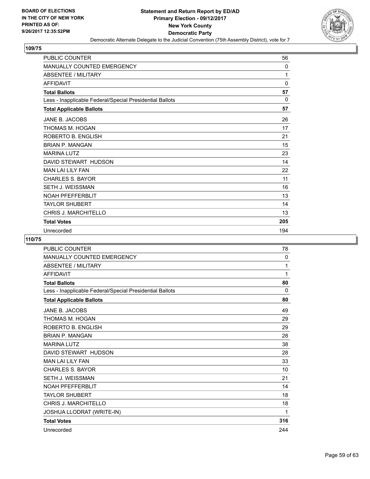

| <b>PUBLIC COUNTER</b>                                    | 56       |
|----------------------------------------------------------|----------|
| MANUALLY COUNTED EMERGENCY                               | 0        |
| <b>ABSENTEE / MILITARY</b>                               | 1        |
| <b>AFFIDAVIT</b>                                         | 0        |
| <b>Total Ballots</b>                                     | 57       |
| Less - Inapplicable Federal/Special Presidential Ballots | $\Omega$ |
| <b>Total Applicable Ballots</b>                          | 57       |
| JANE B. JACOBS                                           | 26       |
| THOMAS M. HOGAN                                          | 17       |
| ROBERTO B. ENGLISH                                       | 21       |
| <b>BRIAN P. MANGAN</b>                                   | 15       |
| <b>MARINA LUTZ</b>                                       | 23       |
| DAVID STEWART HUDSON                                     | 14       |
| <b>MAN LAI LILY FAN</b>                                  | 22       |
| <b>CHARLES S. BAYOR</b>                                  | 11       |
| SETH J. WEISSMAN                                         | 16       |
| <b>NOAH PFEFFERBLIT</b>                                  | 13       |
| <b>TAYLOR SHUBERT</b>                                    | 14       |
| <b>CHRIS J. MARCHITELLO</b>                              | 13       |
| <b>Total Votes</b>                                       | 205      |
| Unrecorded                                               | 194      |

| <b>PUBLIC COUNTER</b>                                    | 78       |
|----------------------------------------------------------|----------|
| <b>MANUALLY COUNTED EMERGENCY</b>                        | 0        |
| <b>ABSENTEE / MILITARY</b>                               | 1        |
| <b>AFFIDAVIT</b>                                         | 1        |
| <b>Total Ballots</b>                                     | 80       |
| Less - Inapplicable Federal/Special Presidential Ballots | $\Omega$ |
| <b>Total Applicable Ballots</b>                          | 80       |
| JANE B. JACOBS                                           | 49       |
| THOMAS M. HOGAN                                          | 29       |
| ROBERTO B. ENGLISH                                       | 29       |
| <b>BRIAN P. MANGAN</b>                                   | 28       |
| <b>MARINA LUTZ</b>                                       | 38       |
| DAVID STEWART HUDSON                                     | 28       |
| <b>MAN LAI LILY FAN</b>                                  | 33       |
| <b>CHARLES S. BAYOR</b>                                  | 10       |
| <b>SETH J. WEISSMAN</b>                                  | 21       |
| <b>NOAH PFEFFERBLIT</b>                                  | 14       |
| <b>TAYLOR SHUBERT</b>                                    | 18       |
| <b>CHRIS J. MARCHITELLO</b>                              | 18       |
| JOSHUA LLODRAT (WRITE-IN)                                | 1        |
| <b>Total Votes</b>                                       | 316      |
| Unrecorded                                               | 244      |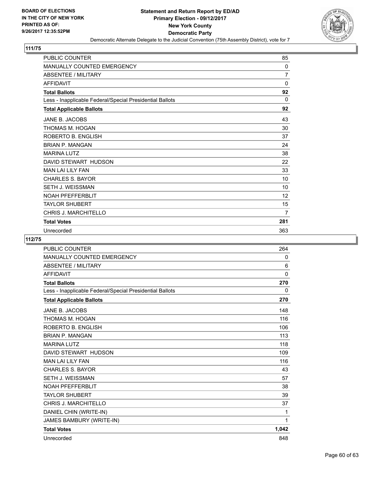

| <b>PUBLIC COUNTER</b>                                    | 85             |
|----------------------------------------------------------|----------------|
| MANUALLY COUNTED EMERGENCY                               | 0              |
| <b>ABSENTEE / MILITARY</b>                               | $\overline{7}$ |
| <b>AFFIDAVIT</b>                                         | 0              |
| <b>Total Ballots</b>                                     | 92             |
| Less - Inapplicable Federal/Special Presidential Ballots | $\Omega$       |
| <b>Total Applicable Ballots</b>                          | 92             |
| JANE B. JACOBS                                           | 43             |
| THOMAS M. HOGAN                                          | 30             |
| ROBERTO B. ENGLISH                                       | 37             |
| <b>BRIAN P. MANGAN</b>                                   | 24             |
| <b>MARINA LUTZ</b>                                       | 38             |
| DAVID STEWART HUDSON                                     | 22             |
| <b>MAN LAI LILY FAN</b>                                  | 33             |
| <b>CHARLES S. BAYOR</b>                                  | 10             |
| SETH J. WEISSMAN                                         | 10             |
| <b>NOAH PFEFFERBLIT</b>                                  | 12             |
| <b>TAYLOR SHUBERT</b>                                    | 15             |
| <b>CHRIS J. MARCHITELLO</b>                              | $\overline{7}$ |
| <b>Total Votes</b>                                       | 281            |
| Unrecorded                                               | 363            |

| <b>PUBLIC COUNTER</b>                                    | 264      |
|----------------------------------------------------------|----------|
| MANUALLY COUNTED EMERGENCY                               | 0        |
| <b>ABSENTEE / MILITARY</b>                               | 6        |
| <b>AFFIDAVIT</b>                                         | $\Omega$ |
| <b>Total Ballots</b>                                     | 270      |
| Less - Inapplicable Federal/Special Presidential Ballots | 0        |
| <b>Total Applicable Ballots</b>                          | 270      |
| JANE B. JACOBS                                           | 148      |
| THOMAS M. HOGAN                                          | 116      |
| ROBERTO B. ENGLISH                                       | 106      |
| <b>BRIAN P. MANGAN</b>                                   | 113      |
| <b>MARINA LUTZ</b>                                       | 118      |
| DAVID STEWART HUDSON                                     | 109      |
| <b>MAN LAI LILY FAN</b>                                  | 116      |
| <b>CHARLES S. BAYOR</b>                                  | 43       |
| <b>SETH J. WEISSMAN</b>                                  | 57       |
| <b>NOAH PFEFFERBLIT</b>                                  | 38       |
| <b>TAYLOR SHUBERT</b>                                    | 39       |
| CHRIS J. MARCHITELLO                                     | 37       |
| DANIEL CHIN (WRITE-IN)                                   | 1        |
| JAMES BAMBURY (WRITE-IN)                                 | 1        |
| <b>Total Votes</b>                                       | 1,042    |
| Unrecorded                                               | 848      |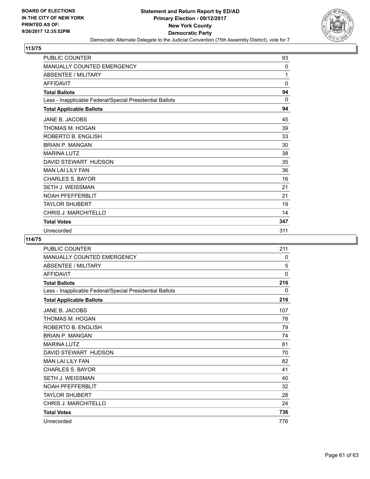

| PUBLIC COUNTER                                           | 93           |
|----------------------------------------------------------|--------------|
| <b>MANUALLY COUNTED EMERGENCY</b>                        | $\Omega$     |
| <b>ABSENTEE / MILITARY</b>                               | 1            |
| <b>AFFIDAVIT</b>                                         | $\mathbf{0}$ |
| <b>Total Ballots</b>                                     | 94           |
| Less - Inapplicable Federal/Special Presidential Ballots | $\Omega$     |
| <b>Total Applicable Ballots</b>                          | 94           |
| JANE B. JACOBS                                           | 45           |
| THOMAS M. HOGAN                                          | 39           |
| ROBERTO B. ENGLISH                                       | 33           |
| <b>BRIAN P. MANGAN</b>                                   | 30           |
| <b>MARINA LUTZ</b>                                       | 38           |
| DAVID STEWART HUDSON                                     | 35           |
| <b>MAN LAI LILY FAN</b>                                  | 36           |
| <b>CHARLES S. BAYOR</b>                                  | 16           |
| <b>SETH J. WEISSMAN</b>                                  | 21           |
| <b>NOAH PFEFFERBLIT</b>                                  | 21           |
| <b>TAYLOR SHUBERT</b>                                    | 19           |
| <b>CHRIS J. MARCHITELLO</b>                              | 14           |
| <b>Total Votes</b>                                       | 347          |
| Unrecorded                                               | 311          |

| <b>PUBLIC COUNTER</b>                                    | 211 |
|----------------------------------------------------------|-----|
| <b>MANUALLY COUNTED EMERGENCY</b>                        | 0   |
| <b>ABSENTEE / MILITARY</b>                               | 5   |
| <b>AFFIDAVIT</b>                                         | 0   |
| <b>Total Ballots</b>                                     | 216 |
| Less - Inapplicable Federal/Special Presidential Ballots | 0   |
| <b>Total Applicable Ballots</b>                          | 216 |
| JANE B. JACOBS                                           | 107 |
| THOMAS M. HOGAN                                          | 78  |
| ROBERTO B. ENGLISH                                       | 79  |
| <b>BRIAN P. MANGAN</b>                                   | 74  |
| <b>MARINA LUTZ</b>                                       | 81  |
| DAVID STEWART HUDSON                                     | 70  |
| <b>MAN LAI LILY FAN</b>                                  | 82  |
| <b>CHARLES S. BAYOR</b>                                  | 41  |
| <b>SETH J. WEISSMAN</b>                                  | 40  |
| <b>NOAH PFEFFERBLIT</b>                                  | 32  |
| <b>TAYLOR SHUBERT</b>                                    | 28  |
| <b>CHRIS J. MARCHITELLO</b>                              | 24  |
| <b>Total Votes</b>                                       | 736 |
| Unrecorded                                               | 776 |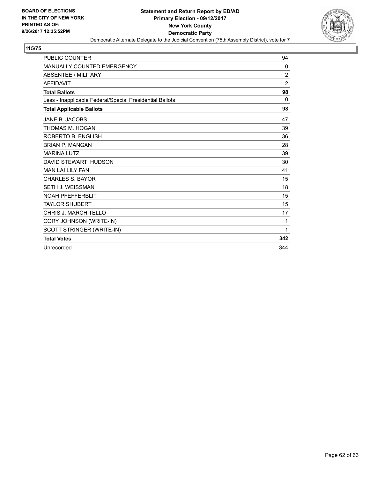

| <b>PUBLIC COUNTER</b>                                    | 94             |
|----------------------------------------------------------|----------------|
| <b>MANUALLY COUNTED EMERGENCY</b>                        | 0              |
| <b>ABSENTEE / MILITARY</b>                               | 2              |
| <b>AFFIDAVIT</b>                                         | $\overline{2}$ |
| <b>Total Ballots</b>                                     | 98             |
| Less - Inapplicable Federal/Special Presidential Ballots | 0              |
| <b>Total Applicable Ballots</b>                          | 98             |
| JANE B. JACOBS                                           | 47             |
| THOMAS M. HOGAN                                          | 39             |
| ROBERTO B. ENGLISH                                       | 36             |
| <b>BRIAN P. MANGAN</b>                                   | 28             |
| <b>MARINA LUTZ</b>                                       | 39             |
| DAVID STEWART HUDSON                                     | 30             |
| <b>MAN LAI LILY FAN</b>                                  | 41             |
| <b>CHARLES S. BAYOR</b>                                  | 15             |
| <b>SETH J. WEISSMAN</b>                                  | 18             |
| <b>NOAH PFEFFERBLIT</b>                                  | 15             |
| <b>TAYLOR SHUBERT</b>                                    | 15             |
| CHRIS J. MARCHITELLO                                     | 17             |
| CORY JOHNSON (WRITE-IN)                                  | 1              |
| SCOTT STRINGER (WRITE-IN)                                | 1              |
| <b>Total Votes</b>                                       | 342            |
| Unrecorded                                               | 344            |